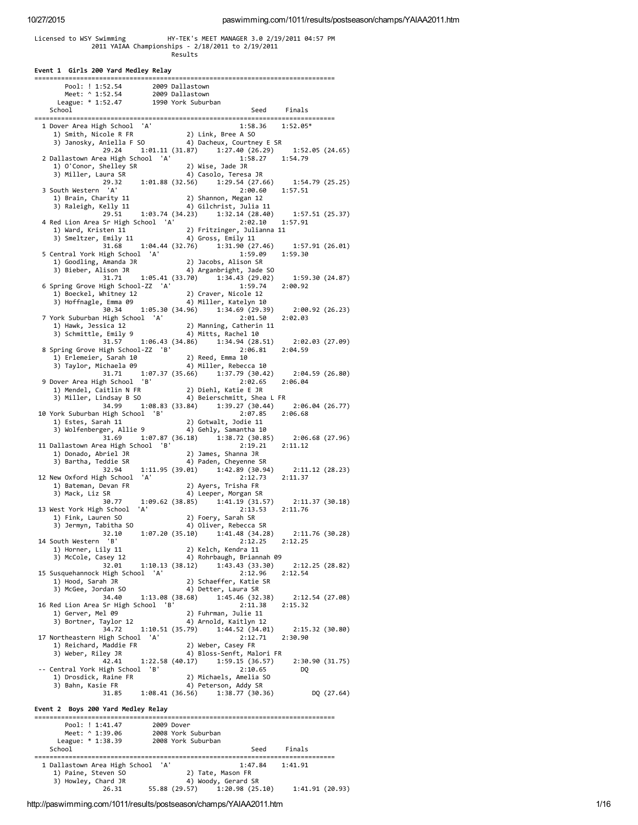# Licensed to WSY S w i m m i n g H Y ‐ T E K's M E E T M A N A G E R 3.0 2 / 1 9 / 2 0 1 1 0 4:5 7 P M 2 0 1 1 Y A I A A C h a m p i o n s h i p s ‐ 2 / 1 8 / 2 0 1 1 t o 2 / 1 9 / 2 0 1 1 R e s u l t s

| Pool: ! 1:52.54 2009 Dallastown<br>Meet: ^ 1:52.54 2009 Dallastown<br>League: * 1:52.47 1990 York Suburban                                      |  |                                                  |                 |                                                                                                          |  |
|-------------------------------------------------------------------------------------------------------------------------------------------------|--|--------------------------------------------------|-----------------|----------------------------------------------------------------------------------------------------------|--|
| School                                                                                                                                          |  |                                                  |                 | Seed Finals                                                                                              |  |
| 1 Dover Area High School 'A'                                                                                                                    |  |                                                  |                 | 1:58.36 1:52.05*                                                                                         |  |
| 9001 1:58.36 (1) Mover Area High School (1)<br>1) Smith, Nicole R FR (2) Link, Bree A SO<br>3) Janosky, Aniella F SO (4) Dacheux, Courtney E SR |  |                                                  |                 |                                                                                                          |  |
|                                                                                                                                                 |  |                                                  |                 |                                                                                                          |  |
|                                                                                                                                                 |  |                                                  |                 | 29.24   1:01.11   (31.87) $1:27.40$ (26.29)   1:52.05   (24.65)<br>a High School 'A'   1:58.27   1:54.79 |  |
| 2 Dallastown Area High School 'A'                                                                                                               |  |                                                  |                 |                                                                                                          |  |
|                                                                                                                                                 |  |                                                  |                 |                                                                                                          |  |
| $29.32$ $1:01.88$ $(32.56)$                                                                                                                     |  |                                                  |                 | 1:29.54(27.66) 1:54.79(25.25)                                                                            |  |
| 3 South Western 'A'                                                                                                                             |  |                                                  | 2:00.60 1:57.51 |                                                                                                          |  |
| 1) Brain, Charity 11 (2) Shannon, Megan 12<br>3) Raleigh, Kelly 11 (29.51 (34.23) 1:32.14 (28.40) 1:57.51 (25.37)                               |  |                                                  |                 |                                                                                                          |  |
|                                                                                                                                                 |  |                                                  |                 |                                                                                                          |  |
|                                                                                                                                                 |  |                                                  |                 |                                                                                                          |  |
| 4 Red Lion Area Sr High School 'A'<br>1) Ward, Kristen 11                                                                                       |  | 2) Fritzinger, Julianna 11                       | 2:02.10 1:57.91 |                                                                                                          |  |
| 1) Ward, Kristen 11 2) Fritzinger, Julianua 11<br>3) Smeltzer, Emily 11 4) Gross, Emily 11<br>31.68 1:04.44 (32.76) 1:31.90 (27.46)             |  |                                                  |                 |                                                                                                          |  |
|                                                                                                                                                 |  |                                                  |                 | 1:57.91(26.01)                                                                                           |  |
| 5 Central York High School 'A'                                                                                                                  |  |                                                  | 1:59.09         | 1:59.30                                                                                                  |  |
|                                                                                                                                                 |  |                                                  |                 |                                                                                                          |  |
|                                                                                                                                                 |  |                                                  |                 | 31.71 $1:05.41$ (33.70) $1:34.43$ (29.02) $1:59.30$ (24.87)                                              |  |
| 6 Spring Grove High School-ZZ 'A'                                                                                                               |  |                                                  | 1:59.74         | 2:00.92                                                                                                  |  |
|                                                                                                                                                 |  |                                                  |                 |                                                                                                          |  |
| 1) Boeckel, Whitney 12 (2) Craver, Nicole 12<br>3) Hoffnagle, Emma 09 (4) Miller, Katelyn 10                                                    |  |                                                  |                 |                                                                                                          |  |
| 30.34 1:05.30 (34.96) 1:34.69 (29.39)                                                                                                           |  |                                                  |                 | 2:00.92 (26.23)                                                                                          |  |
| 7 York Suburban High School 'A'                                                                                                                 |  |                                                  | 2:01.50         | 2:02.03                                                                                                  |  |
| ork Suburban High School (A)<br>1) Hawk, Jessica 12 (2) Manning, Catherin 11<br>3) Schmittle, Emily 9 (4) Mitts, Rachel 10                      |  |                                                  |                 |                                                                                                          |  |
|                                                                                                                                                 |  |                                                  |                 | 31.57 1:06.43 (34.86) 1:34.94 (28.51) 2:02.03 (27.09)                                                    |  |
| 8 Spring Grove High School-ZZ 'B'                                                                                                               |  |                                                  | 2:06.81 2:04.59 |                                                                                                          |  |
| 1) Friemeier, Sarah 10<br>3) Taylor, Michaela 09 (2) Reed, Emma 10<br>3) Taylor, Michaela 09 (4) Miller, Rebecca 10                             |  |                                                  |                 |                                                                                                          |  |
|                                                                                                                                                 |  |                                                  |                 |                                                                                                          |  |
|                                                                                                                                                 |  |                                                  |                 | 31.71   1:07.37   (35.66)   1:37.79   (30.42)   2:04.59   (26.80)                                        |  |
| 9 Dover Area High School 'B'                                                                                                                    |  |                                                  | 2:02.65         | 2:06.04                                                                                                  |  |
| 1) Mendel, Caitlin N FR<br>3) Miller, Lindsay B SO 4) Beierschmitt, Shea L FR<br>3) Miller, Lindsay B SO 4) Beierschmitt, Shea L FR             |  |                                                  |                 |                                                                                                          |  |
| 34.99                                                                                                                                           |  |                                                  |                 |                                                                                                          |  |
| 10 York Suburban High School 'B'                                                                                                                |  |                                                  | 2:07.85 2:06.68 |                                                                                                          |  |
|                                                                                                                                                 |  |                                                  |                 |                                                                                                          |  |
|                                                                                                                                                 |  |                                                  |                 |                                                                                                          |  |
| 31.69 1:07.87 (36.18) 1:38.72 (30.85)<br>11 Dallastown Area High School 'B'                                                                     |  |                                                  | 2:19.21         | 2:06.68 (27.96)<br>2:11.12                                                                               |  |
| 1) Donado, Abriel JR                                                                                                                            |  | 2) James, Shanna JR                              |                 |                                                                                                          |  |
| 3) Bartha, Teddie SR                                                                                                                            |  | 4) Paden, Cheyenne SR                            |                 |                                                                                                          |  |
| 32.94                                                                                                                                           |  | 1:11.95 (39.01) 1:42.89 (30.94)                  |                 | 2:11.12 (28.23)                                                                                          |  |
| 12 New Oxford High School 'A'                                                                                                                   |  |                                                  | 2:12.73         | 2:11.37                                                                                                  |  |
| 1) Bateman, Devan FR                                                                                                                            |  | 2) Ayers, Trisha FR                              |                 |                                                                                                          |  |
| 3) Mack, Liz SR<br>30.77 1:09.62 (38.85)                                                                                                        |  | 4) Leeper, Morgan SR                             |                 | $1:41.19(31.57)$ $2:11.37(30.18)$                                                                        |  |
| 13 West York High School 'A'                                                                                                                    |  |                                                  | 2:13.53 2:11.76 |                                                                                                          |  |
| 1) Fink, Lauren SO                                                                                                                              |  | 2) Foery, Sarah SR                               |                 |                                                                                                          |  |
| 3) Jermyn, Tabitha SO                                                                                                                           |  | 4) Oliver, Rebecca SR                            |                 |                                                                                                          |  |
| 32.10                                                                                                                                           |  |                                                  |                 | $1:07.20(35.10)$ $1:41.48(34.28)$ $2:11.76(30.28)$                                                       |  |
| 14 South Western 'B'                                                                                                                            |  |                                                  |                 | $2:12.25$ $2:12.25$                                                                                      |  |
| 1) Horner, Lily 11                                                                                                                              |  | 2) Kelch, Kendra 11<br>4) Rohrbaugh, Briannah 09 |                 |                                                                                                          |  |
| 3) McCole, Casey 12 (38.12) 4 (49.13 (38.14)<br>32.01 1:10.13 (38.12) 1:43.43 (33.30)                                                           |  |                                                  |                 | 2:12.25 (28.82)                                                                                          |  |
| 15 Susquehannock High School 'A'                                                                                                                |  |                                                  | 2:12.96         | 2:12.54                                                                                                  |  |
| 1) Hood, Sarah JR                                                                                                                               |  | 2) Schaeffer, Katie SR                           |                 |                                                                                                          |  |
| 3) McGee, Jordan SO                                                                                                                             |  | 4) Detter, Laura SR                              |                 |                                                                                                          |  |
|                                                                                                                                                 |  |                                                  |                 | 34.40 1:13.08 (38.68) 1:45.46 (32.38) 2:12.54 (27.08)                                                    |  |
| 16 Red Lion Area Sr High School 'B'                                                                                                             |  |                                                  | 2:11.38         | 2:15.32                                                                                                  |  |
| 1) Gerver, Mel 09<br>3) Bortner, Taylor 12                                                                                                      |  | 2) Fuhrman, Julie 11<br>4) Arnold, Kaitlyn 12    |                 |                                                                                                          |  |
| 34.72                                                                                                                                           |  |                                                  |                 |                                                                                                          |  |
| 17 Northeastern High School 'A'                                                                                                                 |  |                                                  | 2:12.71 2:30.90 |                                                                                                          |  |
| 1) Reichard, Maddie FR                                                                                                                          |  | 2) Weber, Casey FR                               |                 |                                                                                                          |  |
| 3) Weber, Riley JR                                                                                                                              |  | 4) Bloss-Senft, Malori FR                        |                 |                                                                                                          |  |
| 42.41 1:22.58 (40.17) 1:59.15 (36.57)                                                                                                           |  |                                                  |                 | 2:30.90(31.75)                                                                                           |  |
| -- Central York High School 'B'<br>entral form allow<br>1) Drosdick, Raine FR<br>Channel Carlo FR                                               |  | 2) Michaels, Amelia SO                           | 2:10.65         | DQ                                                                                                       |  |
|                                                                                                                                                 |  | 4) Peterson, Addy SR                             |                 |                                                                                                          |  |
|                                                                                                                                                 |  |                                                  |                 | 31.85  1:08.41  (36.56)  1:38.77  (30.36)  DQ  (27.64)                                                   |  |
|                                                                                                                                                 |  |                                                  |                 |                                                                                                          |  |
| Event 2 Boys 200 Yard Medley Relay                                                                                                              |  |                                                  |                 |                                                                                                          |  |
| Pool: ! 1:41.47 2009 Dover<br>Meet: ^ 1:39.06 2008 York Suburban<br>League: * 1:38.39 2008 York Suburban                                        |  |                                                  |                 |                                                                                                          |  |
|                                                                                                                                                 |  |                                                  |                 |                                                                                                          |  |
|                                                                                                                                                 |  |                                                  |                 |                                                                                                          |  |
| School                                                                                                                                          |  |                                                  |                 | Seed Finals                                                                                              |  |
| 1 Dallastown Area High School 'A'                                                                                                               |  |                                                  | 1:47.84 1:41.91 |                                                                                                          |  |
|                                                                                                                                                 |  |                                                  |                 |                                                                                                          |  |
| 1) Paine, Steven SO 2) Tate, Mason FR<br>3) Howley, Chard JR 4) Woody, Gerard SR<br>26.31 55.88 (29.57) 1:20.98 (25.10) 1:41.91 (20.93)         |  |                                                  |                 |                                                                                                          |  |
|                                                                                                                                                 |  |                                                  |                 |                                                                                                          |  |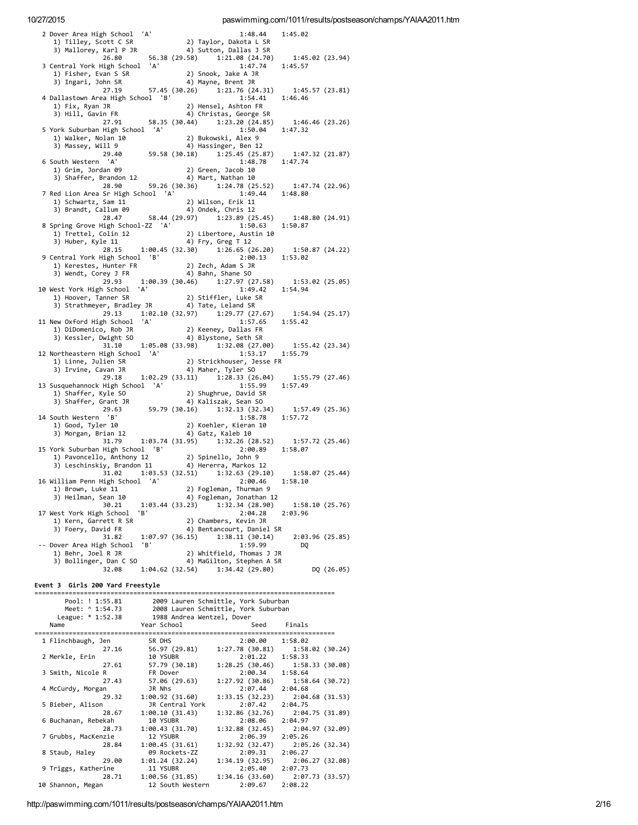| 'A'<br>2 Dover Area High School                    | 1:48.44                                      | 1:45.02                   |
|----------------------------------------------------|----------------------------------------------|---------------------------|
| 1) Tilley, Scott C SR                              | 2) Taylor, Dakota L SR                       |                           |
| 3) Mallorey, Karl P JR                             | 4) Sutton, Dallas J SR                       |                           |
| 26.80                                              | 56.38 (29.58) 1:21.08 (24.70)                | 1:45.02 (23.94)           |
| 3 Central York High School<br>'A'                  | 1:47.74                                      | 1:45.57                   |
| 1) Fisher, Evan S SR                               | 2) Snook, Jake A JR                          |                           |
| 3) Ingari, John SR                                 | 4) Mayne, Brent JR                           |                           |
| 27.19                                              | 57.45 (30.26) 1:21.76 (24.31)                | 1:45.57(23.81)            |
| 4 Dallastown Area High School 'B'                  | 1:54.41                                      | 1:46.46                   |
| 1) Fix, Ryan JR                                    | 2) Hensel, Ashton FR                         |                           |
| 3) Hill, Gavin FR                                  | 4) Christas, George SR                       |                           |
| 58.35 (30.44)<br>27.91                             | 1:23.20(24.85)                               | 1:46.46(23.26)            |
| 5 York Suburban High School 'A'                    | 1:50.04                                      | 1:47.32                   |
| 1) Walker, Nolan 10                                | 2) Bukowski, Alex 9                          |                           |
| 3) Massey, Will 9                                  | 4) Hassinger, Ben 12                         |                           |
| 59.58 (30.18)<br>29.40                             | 1:25.45 (25.87)                              | 1:47.32(21.87)            |
| 6 South Western 'A'                                | 1:48.78                                      | 1:47.74                   |
| 1) Grim, Jordan 09                                 | 2) Green, Jacob 10                           |                           |
| 3) Shaffer, Brandon 12                             | 4) Mart, Nathan 10                           |                           |
| 28.90<br>59.26 (30.36)                             | 1:24.78 (25.52)                              | 1:47.74 (22.96)           |
| 7 Red Lion Area Sr High School 'A'                 | 1:49.44                                      | 1:48.80                   |
| 1) Schwartz, Sam 11                                | 2) Wilson, Erik 11                           |                           |
| 3) Brandt, Callum 09                               | 4) Ondek, Chris 12                           |                           |
| 28.47                                              | 58.44 (29.97) 1:23.89 (25.45)                | 1:48.80 (24.91)           |
| 8 Spring Grove High School-ZZ 'A'                  | 1:50.63                                      | 1:50.87                   |
| 1) Trettel, Colin 12                               | 2) Libertore, Austin 10                      |                           |
| 3) Huber, Kyle 11                                  | 4) Fry, Greg T 12                            |                           |
| 28.15                                              | $1:00.45(32.30)$ $1:26.65(26.20)$            | 1:50.87(24.22)            |
| 9 Central York High School 'B'                     | 2:00.13                                      | 1:53.02                   |
| 1) Kerestes, Hunter FR                             | 2) Zech, Adam S JR                           |                           |
| 3) Wendt, Corey J FR                               | 4) Bahn, Shane SO                            |                           |
| 29.93<br>'A'                                       | 1:00.39(30.46)1:27.97(27.58)                 | 1:53.02 (25.05)           |
| 10 West York High School                           | 1:49.42                                      | 1:54.94                   |
| 1) Hoover, Tanner SR<br>3) Strathmeyer, Bradley JR | 2) Stiffler, Luke SR                         |                           |
| 29.13                                              | 4) Tate, Leland SR                           |                           |
| 'A'                                                | 1:02.10(32.97) 1:29.77(27.67)<br>1:57.65     | 1:54.94(25.17)<br>1:55.42 |
| 11 New Oxford High School                          |                                              |                           |
| 1) DiDomenico, Rob JR<br>3) Kessler, Dwight SO     | 2) Keeney, Dallas FR<br>4) Blystone, Seth SR |                           |
| 1:05.08 (33.98)<br>31.10                           | 1:32.08 (27.00)                              | 1:55.42(23.34)            |
| 12 Northeastern High School 'A'                    | 1:53.17                                      | 1:55.79                   |
| 1) Linne, Julien SR                                | 2) Strickhouser, Jesse FR                    |                           |
| 3) Irvine, Cavan JR                                | 4) Maher, Tyler SO                           |                           |
| 29.18                                              | $1:02.29(33.11)$ $1:28.33(26.04)$            | 1:55.79(27.46)            |
| 13 Susquehannock High School 'A'                   | 1:55.99                                      | 1:57.49                   |
| 1) Shaffer, Kyle SO                                | 2) Shughrue, David SR                        |                           |
| 3) Shaffer, Grant JR                               | 4) Kaliszak, Sean SO                         |                           |
| 29.63                                              | 59.79 (30.16) 1:32.13 (32.34)                | 1:57.49(25.36)            |
| B'<br>14 South Western                             | 1:58.78                                      | 1:57.72                   |
| 1) Good, Tyler 10                                  | 2) Koehler, Kieran 10                        |                           |
| 3) Morgan, Brian 12                                | 4) Gatz, Kaleb 10                            |                           |
|                                                    | 31.79   1:03.74 (31.95)   1:32.26 (28.52)    | 1:57.72 (25.46)           |
| 15 York Suburban High School 'B'                   | 2:00.89                                      | 1:58.07                   |
| 1) Pavoncello, Anthony 12                          | 2) Spinello, John 9                          |                           |
| 3) Leschinskiy, Brandon 11                         | 4) Hererra, Markos 12                        |                           |
| 31.02                                              | $1:03.53$ (32.51) $1:32.63$ (29.10)          | 1:58.07(25.44)            |
| 16 William Penn High School 'A'                    | 2:00.46                                      | 1:58.10                   |
| 1) Brown, Luke 11                                  | 2) Fogleman, Thurman 9                       |                           |
| 3) Heilman, Sean 10                                | 4) Fogleman, Jonathan 12                     |                           |
| 1:03.44 (33.23)<br>30.21                           | 1:32.34(28.90)                               | 1:58.10(25.76)            |
| 'B'<br>17 West York High School                    | 2:04.28                                      | 2:03.96                   |
| 1) Kern, Garrett R SR                              | 2) Chambers, Kevin JR                        |                           |
| 3) Foery, David FR                                 | 4) Bentancourt, Daniel SR                    |                           |
| 31.82                                              | $1:07.97(36.15)$ $1:38.11(30.14)$            | 2:03.96(25.85)            |
| -- Dover Area High School<br>'B'                   | 1:59.99                                      | DQ                        |
| 1) Behr, Joel R JR                                 | 2) Whitfield, Thomas J JR                    |                           |
| 3) Bollinger, Dan C SO                             | 4) MaGilton, Stephen A SR                    |                           |
| 32.08                                              | 1:04.62 (32.54) 1:34.42 (29.80)              | DQ (26.05)                |
|                                                    |                                              |                           |

Event 3 Girls 200 Yard Freestyle

| Pool: ! 1:55.81     |                            | 2009 Lauren Schmittle, York Suburban |                                     |  |
|---------------------|----------------------------|--------------------------------------|-------------------------------------|--|
| Meet: ^ 1:54.73     |                            | 2008 Lauren Schmittle, York Suburban |                                     |  |
| League: * 1:52.38   | 1988 Andrea Wentzel, Dover |                                      |                                     |  |
| Name                | Year School                |                                      | Seed Finals                         |  |
| 1 Flinchbaugh, Jen  | SR DHS                     | 2:00.00                              | 1:58.02                             |  |
| 27.16               | 56.97 (29.81)              |                                      | $1:27.78$ (30.81) $1:58.02$ (30.24) |  |
| 2 Merkle, Erin      | 10 YSUBR                   | 2:01.22                              | 1:58.33                             |  |
| 27.61               | 57.79 (30.18)              |                                      | $1:28.25(30.46)$ $1:58.33(30.08)$   |  |
| 3 Smith, Nicole R   | FR Dover                   | 2:00.34                              | 1:58.64                             |  |
| 27.43               | 57.06 (29.63)              |                                      | $1:27.92$ (30.86) $1:58.64$ (30.72) |  |
| 4 McCurdy, Morgan   | JR Nhs                     | 2:07.44                              | 2:04.68                             |  |
| 29.32               | 1:00.92(31.60)             | 1:33.15(32.23)                       | 2:04.68 (31.53)                     |  |
| 5 Bieber, Alison    | JR Central York            | 2:07.42                              | 2:04.75                             |  |
| 28.67               | 1:00.10(31.43)             | 1:32.86(32.76)                       | 2:04.75 (31.89)                     |  |
| 6 Buchanan, Rebekah | 10 YSUBR                   | 2:08.06                              | 2:04.97                             |  |
| 28.73               | 1:00.43 (31.70)            | 1:32.88(32.45)                       | 2:04.97 (32.09)                     |  |
| 7 Grubbs, MacKenzie | 12 YSUBR                   | 2:06.39                              | 2:05.26                             |  |
| 28.84               | 1:00.45(31.61)             | 1:32.92(32.47)                       | 2:05.26 (32.34)                     |  |
| 8 Staub, Haley      | 09 Rockets-ZZ              | 2:09.31                              | 2:06.27                             |  |
| 29.00               | 1:01.24 (32.24)            |                                      | $1:34.19(32.95)$ $2:06.27(32.08)$   |  |
| 9 Triggs, Katherine | 11 YSUBR                   | 2:05.40                              | 2:07.73                             |  |
| 28.71               | 1:00.56 (31.85)            | 1:34.16(33.60)                       | 2:07.73 (33.57)                     |  |
| 10 Shannon, Megan   | 12 South Western           | 2:09.67                              | 2:08.22                             |  |

http://paswimming.com/1011/results/postseason/champs/YAIAA2011.htm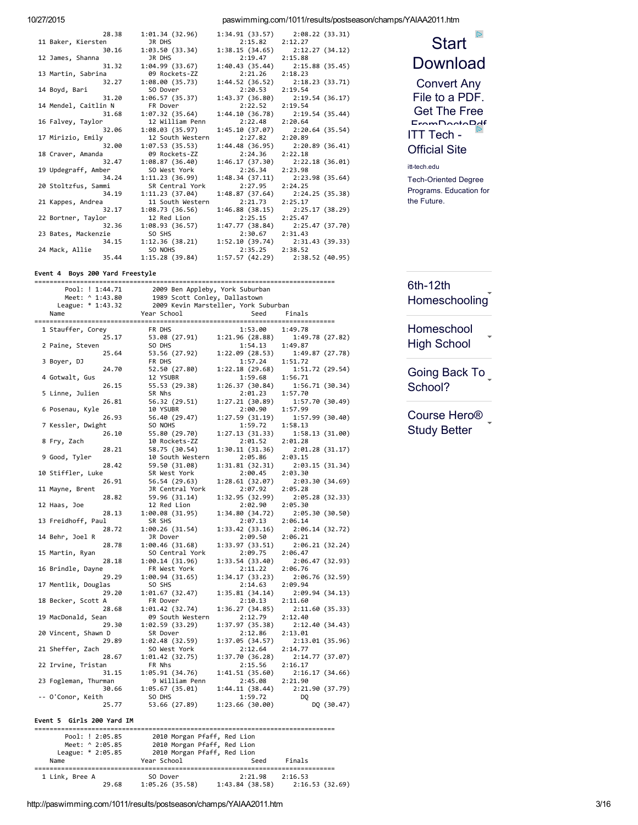10/27/2015 paswimming.com/1011/results/postseason/champs/YAIAA2011.htm

| 28.38                | 1:01.34(32.96)   |                 | $1:34.91(33.57)$ $2:08.22(33.31)$   |
|----------------------|------------------|-----------------|-------------------------------------|
| 11 Baker, Kiersten   | JR DHS           | 2:15.82         | 2:12.27                             |
| 30.16                | 1:03.50(33.34)   |                 | $1:38.15(34.65)$ $2:12.27(34.12)$   |
| 12 James, Shanna     | JR DHS           | 2:19.47         | 2:15.88                             |
| 31.32                | 1:04.99 (33.67)  |                 | $1:40.43$ (35.44) $2:15.88$ (35.45) |
| 13 Martin, Sabrina   | 09 Rockets-ZZ    | 2:21.26         | 2:18.23                             |
| 32.27                | 1:08.00(35.73)   |                 | 1:44.52 (36.52) 2:18.23 (33.71)     |
| 14 Boyd, Bari        | SO Dover         | 2:20.53         | 2:19.54                             |
| 31.20                | 1:06.57 (35.37)  |                 | $1:43.37(36.80)$ $2:19.54(36.17)$   |
| 14 Mendel, Caitlin N | FR Dover         | 2:22.52         | 2:19.54                             |
| 31.68                | 1:07.32(35.64)   |                 | $1:44.10(36.78)$ $2:19.54(35.44)$   |
| 16 Falvey, Taylor    | 12 William Penn  | 2:22.48         | 2:20.64                             |
| 32.06                | 1:08.03(35.97)   |                 | $1:45.10(37.07)$ $2:20.64(35.54)$   |
| 17 Mirizio, Emily    | 12 South Western | 2:27.82         | 2:20.89                             |
| 32.00                | 1:07.53(35.53)   |                 | $1:44.48(36.95)$ $2:20.89(36.41)$   |
| 18 Craver, Amanda    | 09 Rockets-ZZ    | 2:24.36         | 2:22.18                             |
| 32.47                | 1:08.87(36.40)   |                 | $1:46.17(37.30)$ $2:22.18(36.01)$   |
| 19 Updegraff, Amber  | SO West York     | 2:26.34 2:23.98 |                                     |
| 34.24                | 1:11.23(36.99)   |                 | $1:48.34(37.11)$ $2:23.98(35.64)$   |
| 20 Stoltzfus, Sammi  | SR Central York  | 2:27.95         | 2:24.25                             |
| 34.19                | 1:11.23(37.04)   |                 | $1:48.87(37.64)$ $2:24.25(35.38)$   |
| 21 Kappes, Andrea    | 11 South Western | 2:21.73         | 2:25.17                             |
| 32.17                | 1:08.73(36.56)   |                 | $1:46.88$ (38.15) $2:25.17$ (38.29) |
| 22 Bortner, Taylor   | 12 Red Lion      | 2:25.15         | 2:25.47                             |
| 32.36                | 1:08.93 (36.57)  |                 | 1:47.77 (38.84) 2:25.47 (37.70)     |
| 23 Bates, Mackenzie  | SO SHS           | 2:30.67 2:31.43 |                                     |
| 34.15                | 1:12.36 (38.21)  |                 | $1:52.10(39.74)$ $2:31.43(39.33)$   |
| 24 Mack, Allie       | SO NOHS          | 2:35.25         | 2:38.52                             |
| 35.44                | 1:15.28 (39.84)  |                 | $1:57.57(42.29)$ $2:38.52(40.95)$   |
|                      |                  |                 |                                     |

Event 4 Boys 200 Yard Freestyle

| Pool: ! 1:44.71           | 2009 Ben Appleby, York Suburban<br>1989 Scott Conley, Dallastown<br>2009 Kevin Marsteller, York Suburban |                 |                            |
|---------------------------|----------------------------------------------------------------------------------------------------------|-----------------|----------------------------|
| Meet: ^ 1:43.80           |                                                                                                          |                 |                            |
| League: * 1:43.32         |                                                                                                          |                 |                            |
| Name                      | Year School                                                                                              | Seed            | Finals                     |
|                           |                                                                                                          |                 |                            |
| 1 Stauffer, Corey         | FR DHS                                                                                                   | 1:53.00         | 1:49.78                    |
| 25.17                     | 53.08 (27.91) 1:21.96 (28.88)                                                                            |                 | 1:49.78 (27.82)            |
| 2 Paine, Steven           | SO DHS                                                                                                   | 1:54.13         | 1:49.87                    |
| 25.64                     | 53.56 (27.92) 1:22.09 (28.53)                                                                            |                 | 1:49.87 (27.78)            |
| 3 Boyer, DJ               | FR DHS                                                                                                   | 1:57.24         | 1:51.72                    |
| 24.70                     | 52.50 (27.80)                                                                                            | 1:22.18(29.68)  | 1:51.72(29.54)             |
| 4 Gotwalt, Gus            | 12 YSUBR                                                                                                 | 1:59.68         | 1:56.71                    |
| 26.15                     | 55.53 (29.38)                                                                                            | 1:26.37(30.84)  | 1:56.71 (30.34)            |
| 5 Linne, Julien           | SR Nhs                                                                                                   | 2:01.23         | 1:57.70                    |
| 26.81                     | 56.32 (29.51)                                                                                            | 1:27.21(30.89)  | 1:57.70 (30.49)            |
| 6 Posenau, Kyle           | 10 YSUBR                                                                                                 | 2:00.90         | 1:57.99                    |
| 26.93                     | 56.40 (29.47)                                                                                            | 1:27.59 (31.19) | 1:57.99(30.40)             |
| 7 Kessler, Dwight         | SO NOHS                                                                                                  | 1:59.72         | 1:58.13                    |
| 26.10                     | 55.80 (29.70)                                                                                            | 1:27.13 (31.33) | 1:58.13 (31.00)            |
| 8 Fry, Zach               | 10 Rockets-ZZ                                                                                            | 2:01.52         | 2:01.28                    |
| 28.21                     | 58.75 (30.54)                                                                                            | 1:30.11(31.36)  | 2:01.28 (31.17)            |
| 9 Good, Tyler             | 10 South Western                                                                                         | 2:05.86         | 2:03.15                    |
| 28.42                     | 59.50 (31.08)                                                                                            | 1:31.81 (32.31) | 2:03.15(31.34)             |
| 10 Stiffler, Luke         | SR West York                                                                                             | 2:00.45         | 2:03.30                    |
| 26.91                     | 56.54 (29.63)                                                                                            | 1:28.61 (32.07) | 2:03.30 (34.69)            |
| 11 Mayne, Brent           | JR Central York                                                                                          | 2:07.92         | 2:05.28                    |
| 28.82                     | 59.96 (31.14)                                                                                            | 1:32.95 (32.99) | 2:05.28 (32.33)            |
| 12 Haas, Joe              | 12 Red Lion                                                                                              | 2:02.90         | 2:05.30                    |
| 28.13                     | 1:00.08 (31.95)                                                                                          | 1:34.80 (34.72) | 2:05.30 (30.50)            |
| 13 Freidhoff, Paul        | SR SHS                                                                                                   | 2:07.13         | 2:06.14                    |
| 28.72                     | 1:00.26(31.54)                                                                                           | 1:33.42(33.16)  |                            |
| 14 Behr, Joel R           |                                                                                                          | 2:09.50         | 2:06.14 (32.72)<br>2:06.21 |
| 28.78                     | JR Dover                                                                                                 |                 |                            |
|                           | 1:00.46 (31.68)                                                                                          | 1:33.97 (33.51) | 2:06.21 (32.24)            |
| 15 Martin, Ryan<br>28.18  | SO Central York                                                                                          | 2:09.75         | 2:06.47                    |
|                           | 1:00.14(31.96)                                                                                           | 1:33.54(33.40)  | 2:06.47(32.93)             |
| 16 Brindle, Dayne         | FR West York                                                                                             | 2:11.22         | 2:06.76                    |
| 29.29                     | 1:00.94(31.65)                                                                                           | 1:34.17(33.23)  | 2:06.76 (32.59)            |
| 17 Mentlik, Douglas       | SO SHS                                                                                                   | 2:14.63         | 2:09.94                    |
| 29.20                     | 1:01.67(32.47)                                                                                           | 1:35.81(34.14)  | 2:09.94 (34.13)            |
| 18 Becker, Scott A        | FR Dover                                                                                                 | 2:10.13         | 2:11.60                    |
| 28.68                     | 1:01.42 (32.74)                                                                                          | 1:36.27(34.85)  | 2:11.60 (35.33)            |
| 19 MacDonald, Sean        | 09 South Western                                                                                         | 2:12.79         | 2:12.40                    |
| 29.30                     | 1:02.59(33.29)                                                                                           | 1:37.97(35.38)  | 2:12.40 (34.43)            |
| 20 Vincent, Shawn D       | SR Dover                                                                                                 | 2:12.86         | 2:13.01                    |
| 29.89                     | 1:02.48(32.59)                                                                                           | 1:37.05 (34.57) | 2:13.01 (35.96)            |
| 21 Sheffer, Zach          | SO West York                                                                                             | 2:12.64         | 2:14.77                    |
| 28.67                     | 1:01.42 (32.75)                                                                                          | 1:37.70 (36.28) | 2:14.77 (37.07)            |
| 22 Irvine, Tristan        | FR Nhs                                                                                                   | 2:15.56         | 2:16.17                    |
| 31.15                     | 1:05.91 (34.76)                                                                                          | 1:41.51 (35.60) | 2:16.17 (34.66)            |
| 23 Fogleman, Thurman      | 9 William Penn                                                                                           | 2:45.08         | 2:21.90                    |
| 30.66                     | 1:05.67 (35.01)                                                                                          | 1:44.11 (38.44) | 2:21.90 (37.79)            |
| -- O'Conor, Keith         | SO DHS                                                                                                   | 1:59.72         | DQ                         |
| 25.77                     | 53.66 (27.89) 1:23.66 (30.00)                                                                            |                 | DQ (30.47)                 |
|                           |                                                                                                          |                 |                            |
| Event 5 Girls 200 Yard IM |                                                                                                          |                 |                            |

| Pool: ! 2:05.85   | 2010 Morgan Pfaff, Red Lion |                |                 |
|-------------------|-----------------------------|----------------|-----------------|
| Meet: ^ 2:05.85   | 2010 Morgan Pfaff, Red Lion |                |                 |
| League: * 2:05.85 | 2010 Morgan Pfaff, Red Lion |                |                 |
| Name              | Year School                 | Seed           | Finals          |
|                   |                             |                |                 |
| 1 Link, Bree A    | SO Dover                    | 2:21.98        | 2:16.53         |
| 29.68             | 1:05.26(35.58)              | 1:43.84(38.58) | 2:16.53 (32.69) |



Tech-Oriented Degree Programs. Education for the Future.

 $6th-12th$ 

[Homeschooling](https://googleads.g.doubleclick.net/aclk?sa=L&ai=CiMob6ZovVp4V48LtBtnBlrAKgKuR0Qe4_NiJrwLAjbcBEAIgjeSEAygFYMmejozQpNwRyAEBqAMByAPDBKoEnAFP0MX0C7bNLERUzLkxiqOOMD38VmSxU2Br8NaMIvlS3D4Ng-59Vrwju8bQwJBS_RidAHnD598S758wph4m25-zUmZ2maJTDRorufhzTbxlqFOvfH-mjgKIGcoxsSYYBSbofdabivqYwnvIwp63ZqbWuMXSO7JePMRX39dpbVTlhqr62MCoQ8dMhDfmSGmORHQBz5e62h8BFxfZ_pyAB_iCyiWoB6a-G6gHtcEb2AcB&num=2&sig=AOD64_1uW2Ci96vMDGAX3vFuL8Ehzjr0OQ&client=ca-pub-2386750526635199&adurl=http://americanonline.education)

[Homeschool](http://www.googleadservices.com/pagead/aclk?sa=L&ai=CIiiT6ZovVp4V48LtBtnBlrAKr4uujweH08LMsAKN96KKMxADII3khAMoBWDJno6M0KTcEaABtbf36gPIAQGoAwHIA8MEqgSfAU_QlfIOtsosRFTMuTGKo44wPfxWZLFTYGvw1owi-VLcPg2D7n1WvCO7xtDAkFL9GJ0AecPn3xLvnzCmHibbn7NSZnaZolMNGiu5-HNNvGWoU698f6aOAogZyjGxJhgFJuh91puK-pjCe8jCnrdmpta4xZo7aw6iQhFw_ZxukBCF7g_bUF1A1jmPtpNDzXoAUPWLlE_ZHOER35IwTVixuIgGAYAHs8iIFagHpr4bqAe1wRvYBwHYEwg&num=5&cid=5GjjW8l5preAGYqLNpLTNMb8&sig=AOD64_2N1kl5Mdj1JS4OX6yBWpdR-7__Rw&client=ca-pub-2386750526635199&adurl=https://www.jmhs.com/homeschooling-online-high-school%3F%26code%3DB223%26kw%3D%26mkwid%3DcHoZV55D9_dc%7Cpcrid%7C81866181431%7Cpkw%7C%7Cpmt%7C) High School

Going Back To [School?](http://www.googleadservices.com/pagead/aclk?sa=L&ai=CV0Fs6ZovVp4V48LtBtnBlrAKuOWw3giwy8yt0gHAjbcBEAQgjeSEAygFYMmejozQpNwRoAHgl9H2A8gBAagDAcgDwwSqBJwBT9CVwwW2zCxEVMy5MYqjjjA9_FZksVNga_DWjCL5Utw-DYPufVa8I7vG0MCQUv0YnQB5w-ffEu-fMKYeJtufs1JmdpmiUw0aK7n4c028ZahTr3x_po4CiBnKMbEmGAUm6H3Wm4r6mMJ7yMKet2amrrvF0juaTECuV9_XaW1U5Yaq-tjAqEPHTIQ35khpjkR0Ac-XutofARdP4YqXiAYBgAeYmsovqAemvhuoB7XBG9gHAQ&num=3&cid=5GjjW8l5preAGYqLNpLTNMb8&sig=AOD64_3doGDIYGc51slm1vCo-S1kE-BezQ&client=ca-pub-2386750526635199&adurl=http://clickserve.dartsearch.net/link/click%3Flid%3D43700007835247167%26ds_s_kwgid%3D58700000634783471%26ds_e_adid%3D56517551152%26ds_e_matchtype%3Dcontent%26ds_e_device%3Dc%26ds_e_network%3Dd%26ds_url_v%3D2%26%23financial-goals-and-priorities%3Fcm_mmc%3DML-Evergreen-_-Google-SC-_-back%2520to%2520school-_-CN%2520KCT%2520Merrill%2520Lynch%25203CN%2520KCT%2520Encore%2520Educationback%2520to%2520school)

[Course](http://www.googleadservices.com/pagead/aclk?sa=L&ai=C-AUn6ZovVp4V48LtBtnBlrAK__Pd6Qe_8bmvkALAjbcBEAUgjeSEAygFYMmejozQpNwRoAGN4ITrA8gBAagDAcgDwwSqBJwBT9C1ngm2yyxEVMy5MYqjjjA9_FZksVNga_DWjCL5Utw-DYPufVa8I7vG0MCQUv0YnQB5w-ffEu-fMKYeJtufs1JmdpmiUw0aK7n4c028ZahTr3x_po4CiBnKMbEmGAUm6H3Wm4r6mMJ7yMKet2am1rjF0jvtBAHXV9_XaW1U5Yaq-tjAqEPHTIQ35khpjkR0Ac-XutofARdmy-itiAYBgAfbn_sUqAemvhuoB7XBG9gHAQ&num=4&cid=5GjjW8l5preAGYqLNpLTNMb8&sig=AOD64_07DgiwdMosY2Q3-MX0__1JKktXuw&client=ca-pub-2386750526635199&adurl=http://tracker.marinsm.com/rd%3Fcid%3D518m4q45325%26mkwid%3DcJkbQLhN2_dc%26pcrid%3D73146449671%26pmt%3D%26pkw%3D%26lp%3Dhttps://www.coursehero.com/%253F%2526utm_campaign%253D%2526utm_source%253Dgoogle%2526utm_medium%253Dcpc%2526utm_term%253D) Hero® Study Better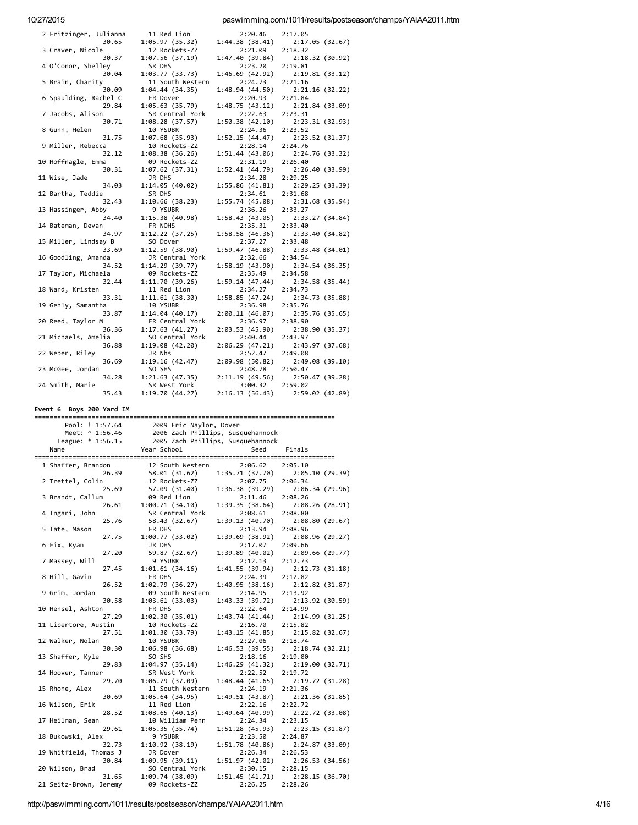paswimming.com/1011/results/postseason/champs/YAIAA2011.htm

| 2 Fritzinger, Julianna | 11 Red Lion      | 2:20.46         | 2:17.05         |
|------------------------|------------------|-----------------|-----------------|
| 30.65                  | 1:05.97 (35.32)  | 1:44.38 (38.41) | 2:17.05 (32.67) |
| 3 Craver, Nicole       | 12 Rockets-ZZ    | 2:21.09         | 2:18.32         |
| 30.37                  | 1:07.56 (37.19)  | 1:47.40 (39.84) | 2:18.32(30.92)  |
| 4 O'Conor, Shelley     | SR DHS           | 2:23.20         | 2:19.81         |
| 30.04                  | 1:03.77 (33.73)  | 1:46.69 (42.92) | 2:19.81(33.12)  |
| 5 Brain, Charity       | 11 South Western | 2:24.73         | 2:21.16         |
| 30.09                  | 1:04.44 (34.35)  | 1:48.94 (44.50) | 2:21.16(32.22)  |
| 6 Spaulding, Rachel C  | FR Dover         | 2:20.93         | 2:21.84         |
| 29.84                  | 1:05.63(35.79)   | 1:48.75(43.12)  | 2:21.84 (33.09) |
| 7 Jacobs, Alison       | SR Central York  | 2:22.63         | 2:23.31         |
|                        |                  |                 |                 |
| 30.71                  | 1:08.28(37.57)   | 1:50.38(42.10)  | 2:23.31 (32.93) |
| 8 Gunn, Helen          | 10 YSUBR         | 2:24.36         | 2:23.52         |
| 31.75                  | 1:07.68 (35.93)  | 1:52.15 (44.47) | 2:23.52 (31.37) |
| 9 Miller, Rebecca      | 10 Rockets-ZZ    | 2:28.14         | 2:24.76         |
| 32.12                  | 1:08.38 (36.26)  | 1:51.44 (43.06) | 2:24.76 (33.32) |
| 10 Hoffnagle, Emma     | 09 Rockets-ZZ    | 2:31.19         | 2:26.40         |
| 30.31                  | 1:07.62 (37.31)  | 1:52.41 (44.79) | 2:26.40 (33.99) |
| 11 Wise, Jade          | JR DHS           | 2:34.28         | 2:29.25         |
| 34.03                  | 1:14.05 (40.02)  | 1:55.86 (41.81) | 2:29.25(33.39)  |
| 12 Bartha, Teddie      | SR DHS           | 2:34.61         | 2:31.68         |
| 32.43                  | 1:10.66 (38.23)  | 1:55.74 (45.08) | 2:31.68(35.94)  |
| 13 Hassinger, Abby     | 9 YSUBR          | 2:36.26         | 2:33.27         |
| 34.40                  | 1:15.38 (40.98)  | 1:58.43 (43.05) | 2:33.27 (34.84) |
| 14 Bateman, Devan      | FR NOHS          | 2:35.31         | 2:33.40         |
| 34.97                  | 1:12.22 (37.25)  | 1:58.58(46.36)  | 2:33.40 (34.82) |
| 15 Miller, Lindsay B   | SO Dover         | 2:37.27         | 2:33.48         |
| 33.69                  | 1:12.59 (38.90)  | 1:59.47 (46.88) | 2:33.48 (34.01) |
| 16 Goodling, Amanda    | JR Central York  | 2:32.66         | 2:34.54         |
| 34.52                  | 1:14.29 (39.77)  | 1:58.19 (43.90) | 2:34.54(36.35)  |
| 17 Taylor, Michaela    | 09 Rockets-ZZ    | 2:35.49         | 2:34.58         |
|                        |                  |                 |                 |
| 32.44                  | 1:11.70 (39.26)  | 1:59.14 (47.44) | 2:34.58 (35.44) |
| 18 Ward, Kristen       | 11 Red Lion      | 2:34.27         | 2:34.73         |
| 33.31                  | 1:11.61 (38.30)  | 1:58.85 (47.24) | 2:34.73(35.88)  |
| 19 Gehly, Samantha     | 10 YSUBR         | 2:36.98         | 2:35.76         |
| 33.87                  | 1:14.04 (40.17)  | 2:00.11 (46.07) | 2:35.76 (35.65) |
| 20 Reed, Taylor M      | FR Central York  | 2:36.97         | 2:38.90         |
| 36.36                  | 1:17.63(41.27)   | 2:03.53 (45.90) | 2:38.90 (35.37) |
| 21 Michaels, Amelia    | SO Central York  | 2:40.44         | 2:43.97         |
| 36.88                  | 1:19.08 (42.20)  | 2:06.29(47.21)  | 2:43.97 (37.68) |
| 22 Weber, Riley        | JR Nhs           | 2:52.47         | 2:49.08         |
| 36.69                  | 1:19.16 (42.47)  | 2:09.98 (50.82) | 2:49.08 (39.10) |
| 23 McGee, Jordan       | SO SHS           | 2:48.78         | 2:50.47         |
| 34.28                  | 1:21.63(47.35)   | 2:11.19(49.56)  | 2:50.47 (39.28) |
| 24 Smith, Marie        | SR West York     | 3:00.32         | 2:59.02         |
| 35.43                  | 1:19.70 (44.27)  | 2:16.13(56.43)  | 2:59.02 (42.89) |
|                        |                  |                 |                 |

Event 6 Boys 200 Yard IM

| Pool: ! 1:57.64           | 2009 Eric Naylor, Dover       |                                   |                           |
|---------------------------|-------------------------------|-----------------------------------|---------------------------|
| Meet: ^ 1:56.46           |                               | 2006 Zach Phillips, Susquehannock |                           |
| League: $* 1:56.15$       |                               | 2005 Zach Phillips, Susquehannock |                           |
| Name                      | Year School                   | Seed                              | Finals                    |
|                           |                               |                                   |                           |
| 1 Shaffer, Brandon        | 12 South Western              | 2:06.62                           | 2:05.10                   |
| 26.39                     | 58.01 (31.62)                 | 1:35.71(37.70)                    | 2:05.10 (29.39)           |
| 2 Trettel, Colin          | 12 Rockets-ZZ                 | 2:07.75                           | 2:06.34                   |
| 25.69                     | 57.09 (31.40)                 | 1:36.38(39.29)                    | 2:06.34(29.96)            |
| 3 Brandt, Callum<br>26.61 | 09 Red Lion<br>1:00.71(34.10) | 2:11.46                           | 2:08.26                   |
| 4 Ingari, John            | SR Central York               | 1:39.35(38.64)<br>2:08.61         | 2:08.26(28.91)<br>2:08.80 |
| 25.76                     | 58.43 (32.67)                 | 1:39.13(40.70)                    | 2:08.80(29.67)            |
| 5 Tate, Mason             | FR DHS                        | 2:13.94                           | 2:08.96                   |
| 27.75                     | 1:00.77(33.02)                | 1:39.69(38.92)                    | 2:08.96 (29.27)           |
| 6 Fix, Ryan               | JR DHS                        | 2:17.07                           | 2:09.66                   |
| 27.20                     | 59.87 (32.67)                 | 1:39.89 (40.02)                   | 2:09.66(29.77)            |
| 7 Massey, Will            | 9 YSUBR                       | 2:12.13                           | 2:12.73                   |
| 27.45                     | 1:01.61(34.16)                | 1:41.55(39.94)                    | 2:12.73(31.18)            |
| 8 Hill, Gavin             | FR DHS                        | 2:24.39                           | 2:12.82                   |
| 26.52                     | 1:02.79 (36.27)               | 1:40.95(38.16)                    | 2:12.82 (31.87)           |
| 9 Grim, Jordan            | 09 South Western              | 2:14.95                           | 2:13.92                   |
| 30.58                     | 1:03.61 (33.03)               | 1:43.33(39.72)                    | 2:13.92 (30.59)           |
| 10 Hensel, Ashton         | FR DHS                        | 2:22.64                           | 2:14.99                   |
| 27.29                     | 1:02.30(35.01)                | 1:43.74 (41.44)                   | 2:14.99 (31.25)           |
| 11 Libertore, Austin      | 10 Rockets-ZZ                 | 2:16.70                           | 2:15.82                   |
| 27.51                     | 1:01.30(33.79)                | 1:43.15(41.85)                    | 2:15.82 (32.67)           |
| 12 Walker, Nolan          | 10 YSUBR                      | 2:27.06                           | 2:18.74                   |
| 30.30                     | 1:06.98(36.68)                | 1:46.53(39.55)                    | 2:18.74(32.21)            |
| 13 Shaffer, Kyle          | SO SHS                        | 2:18.16                           | 2:19.00                   |
| 29.83                     | 1:04.97(35.14)                | 1:46.29(41.32)                    | 2:19.00(32.71)            |
| 14 Hoover, Tanner         | SR West York                  | 2:22.52                           | 2:19.72                   |
| 29.70                     | 1:06.79 (37.09)               | 1:48.44(41.65)                    | 2:19.72(31.28)            |
| 15 Rhone, Alex            | 11 South Western              | 2:24.19                           | 2:21.36                   |
| 30.69                     | 1:05.64(34.95)                | 1:49.51(43.87)                    | 2:21.36(31.85)            |
| 16 Wilson, Erik           | 11 Red Lion                   | 2:22.16                           | 2:22.72                   |
| 28.52                     | 1:08.65(40.13)                | 1:49.64(40.99)                    | 2:22.72 (33.08)           |
| 17 Heilman, Sean          | 10 William Penn               | 2:24.34                           | 2:23.15                   |
| 29.61                     | 1:05.35(35.74)                | 1:51.28(45.93)                    | 2:23.15 (31.87)           |
| 18 Bukowski, Alex         | 9 YSUBR                       | 2:23.50                           | 2:24.87                   |
| 32.73                     | 1:10.92(38.19)                | 1:51.78(40.86)                    | 2:24.87(33.09)            |
| 19 Whitfield, Thomas J    | JR Dover                      | 2:26.34                           | 2:26.53                   |
| 30.84                     | 1:09.95(39.11)                | 1:51.97(42.02)                    | 2:26.53(34.56)            |
| 20 Wilson, Brad           | SO Central York               | 2:30.15                           | 2:28.15                   |
| 31.65                     | 1:09.74(38.09)                | 1:51.45(41.71)                    | 2:28.15(36.70)            |
| 21 Seitz-Brown, Jeremy    | 09 Rockets-ZZ                 | 2:26.25                           | 2:28.26                   |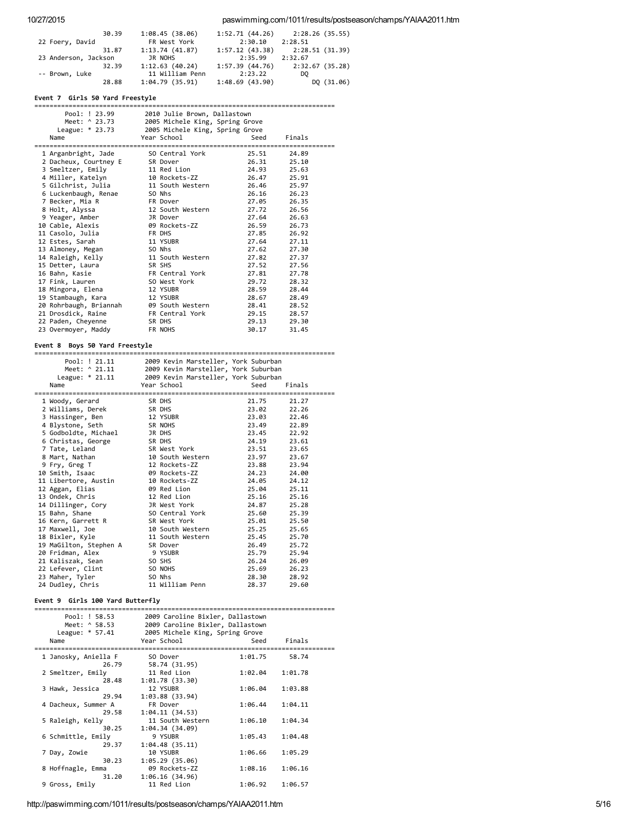## 10/27/2015 paswimming.com/1011/results/postseason/champs/YAIAA2011.htm

| 30.39                | 1:08.45(38.06)  | 1:52.71(44.26) | 2:28.26 (35.55) |
|----------------------|-----------------|----------------|-----------------|
| 22 Foery, David      | FR West York    | 2:30.10        | 2:28.51         |
| 31.87                | 1:13.74(41.87)  | 1:57.12(43.38) | 2:28.51 (31.39) |
| 23 Anderson, Jackson | JR NOHS         | 2:35.99        | 2:32.67         |
| 32.39                | 1:12.63(40.24)  | 1:57.39(44.76) | 2:32.67(35.28)  |
| -- Brown, Luke       | 11 William Penn | 2:23.22        | DO              |
| 28.88                | 1:04.79(35.91)  | 1:48.69(43.90) | DQ (31.06)      |

## Event 7 Girls 50 Yard Freestyle

| Pool: ! 23.99          | 2010 Julie Brown, Dallastown        |       |        |  |
|------------------------|-------------------------------------|-------|--------|--|
| Meet: ^ 23.73          | 2005 Michele King, Spring Grove     |       |        |  |
| League: * 23.73        | 2005 Michele King, Spring Grove     |       |        |  |
| Name                   | Year School                         | Seed  | Finals |  |
|                        |                                     |       |        |  |
|                        | 1 Arganbright, Jade 50 Central York | 25.51 | 24.89  |  |
| 2 Dacheux, Courtney E  | SR Dover                            | 26.31 | 25.10  |  |
| 3 Smeltzer, Emily      | 11 Red Lion                         | 24.93 | 25.63  |  |
| 4 Miller, Katelyn      | 10 Rockets-ZZ                       | 26.47 | 25.91  |  |
| 5 Gilchrist, Julia     | 11 South Western                    | 26.46 | 25.97  |  |
| 6 Luckenbaugh, Renae   | SO Nhs                              | 26.16 | 26.23  |  |
| 7 Becker, Mia R        | FR Dover                            | 27.05 | 26.35  |  |
| 8 Holt, Alyssa         | 12 South Western                    | 27.72 | 26.56  |  |
| 9 Yeager, Amber        | JR Dover                            | 27.64 | 26.63  |  |
| 10 Cable, Alexis       | 09 Rockets-ZZ                       | 26.59 | 26.73  |  |
| 11 Casolo, Julia       | FR DHS                              | 27.85 | 26.92  |  |
| 12 Estes, Sarah        | 11 YSUBR                            | 27.64 | 27.11  |  |
| 13 Almoney, Megan      | SO Nhs                              | 27.62 | 27.30  |  |
| 14 Raleigh, Kelly      | 11 South Western                    | 27.82 | 27.37  |  |
| 15 Detter, Laura       | SR SHS                              | 27.52 | 27.56  |  |
| 16 Bahn, Kasie         | FR Central York                     | 27.81 | 27.78  |  |
| 17 Fink, Lauren        | SO West York                        | 29.72 | 28.32  |  |
| 18 Mingora, Elena      | 12 YSUBR                            | 28.59 | 28.44  |  |
| 19 Stambaugh, Kara     | 12 YSUBR                            | 28.67 | 28.49  |  |
| 20 Rohrbaugh, Briannah | 09 South Western                    | 28.41 | 28.52  |  |
| 21 Drosdick, Raine     | FR Central York                     | 29.15 | 28.57  |  |
| 22 Paden, Cheyenne     | SR DHS                              | 29.13 | 29.30  |  |
| 23 Overmoyer, Maddy    | FR NOHS                             | 30.17 | 31.45  |  |

Event 8 Boys 50 Yard Freestyle =============================================================================== Pool: ! 21.11 2009 Kevin Marsteller, York Suburban<br>
Meet: ^ 21.11 2009 Kevin Marsteller, York Suburban<br>
League: \* 21.11 2009 Kevin Marsteller, York Suburban Meet: ^ 21.11 2009 Kevin Marsteller, York Suburban League: \* 21.11 2009 Kevin Marsteller, York Suburban Name Year School Seed Finals =============================================================================== Woody, Gerard SR DHS 21.75 21.27 Williams, Derek SR DHS 23.02 22.26 3 Hassinger, Ben 12 YSUBR 23.03<br>
4 Blystone, Seth 5 SR NOHS 23.49<br>
5 Godboldte. Michael 3R DHS 23.45 Blystone, Seth SR NOHS 23.49 22.89 Godboldte, Michael JR DHS 23.45 22.92 Christas, George SR DHS 24.19 23.61 7 Tate, Leland SR West York 23.51 23.65 8 Mart, Nathan 10 South Western 23.97 23.67 Fry, Greg T 12 Rockets‐ZZ 23.88 23.94 Smith, Isaac 09 Rockets‐ZZ 24.23 24.00 Libertore, Austin 10 Rockets‐ZZ 24.05 24.12 Aggan, Elias 09 Red Lion 25.04 25.11 13 Ondek, Chris 12 Red Lion 25.16 25.16<br>14 Dillinger. Corv 1R West York 24.87 25.28 Dillinger, Cory JR West York 24.87 25.28 Bahn, Shane SO Central York 25.60 25.39 16 Kern, Garrett R SR West York 25.01 25.50 Maxwell, Joe 10 South Western 25.25 25.65 18 Bixler, Kyle 11 South Western 25.45 25.70 MaGilton, Stephen A SR Dover 26.49 25.72 20 Fridman, Alex 9 YSUBR 25.79 25.94 Kaliszak, Sean SO SHS 26.24 26.09 Lefever, Clint SO NOHS 25.69 26.23 23 Maher, Tyler SO Nhs 28.30 28.92 Dudley, Chris 11 William Penn 28.37 29.60 Event 9 Girls 100 Yard Butterfly

| Pool: ! 58.53        | 2009 Caroline Bixler, Dallastown |         |         |  |
|----------------------|----------------------------------|---------|---------|--|
| Meet: ^ 58.53        | 2009 Caroline Bixler, Dallastown |         |         |  |
| League: * 57.41      | 2005 Michele King, Spring Grove  |         |         |  |
| Name                 | Year School                      | Seed    | Finals  |  |
|                      |                                  |         |         |  |
| 1 Janosky, Aniella F | SO Dover                         | 1:01.75 | 58.74   |  |
| 26.79                | 58.74 (31.95)                    |         |         |  |
| 2 Smeltzer, Emily    | 11 Red Lion                      | 1:02.04 | 1:01.78 |  |
| 28.48                | 1:01.78(33.30)                   |         |         |  |
| 3 Hawk, Jessica      | 12 YSUBR                         | 1:06.04 | 1:03.88 |  |
| 29.94                | 1:03.88 (33.94)                  |         |         |  |
| 4 Dacheux, Summer A  | FR Dover                         | 1:06.44 | 1:04.11 |  |
| 29.58                | 1:04.11(34.53)                   |         |         |  |
| 5 Raleigh, Kelly     | 11 South Western                 | 1:06.10 | 1:04.34 |  |
| 30.25                | 1:04.34(34.09)                   |         |         |  |
| 6 Schmittle, Emily   | 9 YSUBR                          | 1:05.43 | 1:04.48 |  |
| 29.37                | 1:04.48(35.11)                   |         |         |  |
| 7 Day, Zowie         | 10 YSUBR                         | 1:06.66 | 1:05.29 |  |
| 30.23                | 1:05.29(35.06)                   |         |         |  |
| 8 Hoffnagle, Emma    | 09 Rockets-ZZ                    | 1:08.16 | 1:06.16 |  |
| 31.20                | 1:06.16(34.96)                   |         |         |  |
| 9 Gross, Emily       | 11 Red Lion                      | 1:06.92 | 1:06.57 |  |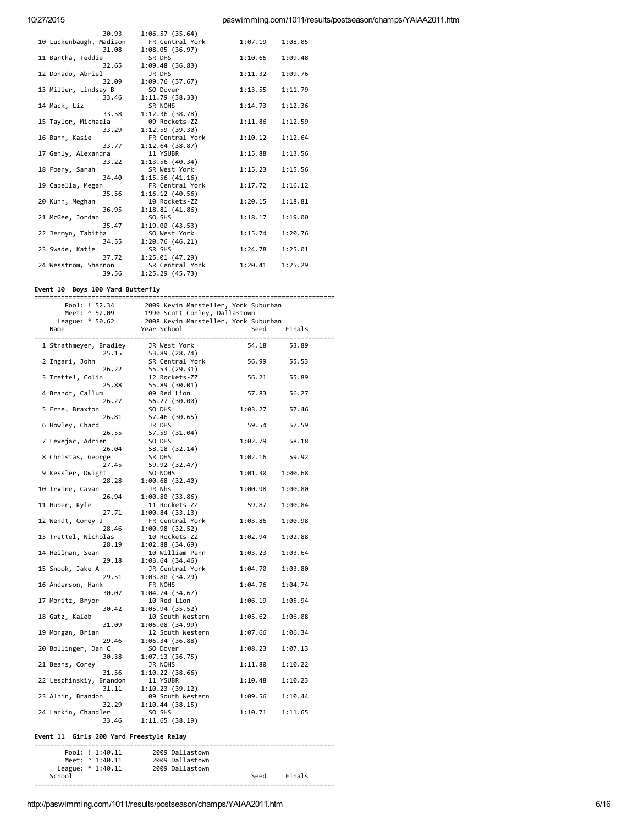| 30.93                   | 1:06.57(35.64)  |         |         |
|-------------------------|-----------------|---------|---------|
| 10 Luckenbaugh, Madison | FR Central York | 1:07.19 | 1:08.05 |
| 31.08                   | 1:08.05(36.97)  |         |         |
| 11 Bartha, Teddie       | SR DHS          | 1:10.66 | 1:09.48 |
| 32.65                   | 1:09.48 (36.83) |         |         |
| 12 Donado, Abriel       | JR DHS          | 1:11.32 | 1:09.76 |
| 32.09                   | 1:09.76 (37.67) |         |         |
| 13 Miller, Lindsay B    | SO Dover        | 1:13.55 | 1:11.79 |
| 33.46                   | 1:11.79(38.33)  |         |         |
| 14 Mack, Liz            | SR NOHS         | 1:14.73 | 1:12.36 |
| 33.58                   | 1:12.36 (38.78) |         |         |
| 15 Taylor, Michaela     | 09 Rockets-ZZ   | 1:11.86 | 1:12.59 |
| 33.29                   | 1:12.59 (39.30) |         |         |
| 16 Bahn, Kasie          | FR Central York | 1:10.12 | 1:12.64 |
| 33.77                   | 1:12.64(38.87)  |         |         |
| 17 Gehly, Alexandra     | 11 YSUBR        | 1:15.88 | 1:13.56 |
| 33.22                   | 1:13.56(40.34)  |         |         |
| 18 Foery, Sarah         | SR West York    | 1:15.23 | 1:15.56 |
| 34.40                   | 1:15.56(41.16)  |         |         |
| 19 Capella, Megan       | FR Central York | 1:17.72 | 1:16.12 |
| 35.56                   | 1:16.12(40.56)  |         |         |
| 20 Kuhn, Meghan         | 10 Rockets-ZZ   | 1:20.15 | 1:18.81 |
| 36.95                   | 1:18.81(41.86)  |         |         |
| 21 McGee, Jordan        | SO SHS          | 1:18.17 | 1:19.00 |
| 35.47                   | 1:19.00(43.53)  |         |         |
| 22 Jermyn, Tabitha      | SO West York    | 1:15.74 | 1:20.76 |
| 34.55                   | 1:20.76(46.21)  |         |         |
| 23 Swade, Katie         | SR SHS          | 1:24.78 | 1:25.01 |
| 37.72                   | 1:25.01(47.29)  |         |         |
| 24 Wesstrom, Shannon    | SR Central York | 1:20.41 | 1:25.29 |
| 39.56                   | 1:25.29(45.73)  |         |         |

#### Event 10 Boys 100 Yard Butterfly

2009 Kevin Marsteller, York Suburban Pool: ! 52.34 Meet: ^ 52.09 1990 Scott Conley, Dallastown League: \* 50.62 2008 Kevin Marsteller, York Suburban Name Year School Seed Finals 1 Strathmeyer, Bradley JR West York 54.18 53.89 53.89 (28.74) 25.15 2 Ingari, John SR Central York 56.99 55.53 26.22 55.53 (29.31) 3 Trettel, Colin 56.21 55.89 12 Rockets-ZZ 25.88 55.89 (30.01) 4 Brandt, Callum 09 Red Lion 57.83 56.27 26.27 56.27 (30.00) 5 Erne, Braxton SO DHS 1:03.27 57.46 26.81 57.46 (30.65) 6 Howley, Chard 59.54 57.59 JR DHS 26.55 57.59 (31.04) 7 Levejac, Adrien SO DHS 1:02.79 58.18 26.04 58.18 (32.14) 8 Christas, George SR DHS 1:02.16 59.92 27.45 59.92 (32.47) 9 Kessler, Dwight SO NOHS 1:01.30 1:00.68 28.28 1:00.68 (32.40) 10 Irvine, Cavan JR Nhs 1:00.98 1:00.80 26.94 1:00.80 (33.86) 11 Huber, Kyle 59.87  $1:00.84$ 11 Rockets-ZZ 27.71 1:00.84 (33.13) 12 Wendt, Corey J 1:03.86 1:00.98 FR Central York 1:00.98 (32.52)<br>10 Rockets-ZZ 28.46 13 Trettel, Nicholas 1:02.94 1:02.88 28.19  $1:02.88(34.69)$ 14 Heilman, Sean 10 William Penn 1:03.23 1:03.64 29.18  $1:03.64(34.46)$ 15 Snook, Jake A JR Central York  $1:04.70$ 1:03.80 29.51  $1:03.80(34.29)$ 16 Anderson, Hank FR NOHS  $1:04.76$ 1:04.74 30.07 1:04.74 (34.67) 17 Moritz, Bryor 1:06.19  $1:95.94$ 10 Red Lion 30.42  $1:05.94(35.52)$ 18 Gatz, Kaleb 10 South Western 1:05.62 1:06.08  $1:06.08(34.99)$ 31.09 19 Morgan, Brian 12 South Western 1:07.66 1:06.34 29.46  $1:06.34(36.88)$ 20 Bollinger, Dan C SO Dover 1:08.23  $1:07.13$ 30.38 1:07.13 (36.75) 21 Beans, Corey JR NOHS  $1:11.80$  $1:10.22$ 31.56  $1:10.22(38.66)$ 22 Leschinskiy, Brandon 11 YSURR  $1:10.48$  $1:10.23$  $1:10.23(39.12)$ 31.11 23 Albin, Brandon 09 South Western  $1:09.56$  $1:10.44$ 32.29  $1:10.44(38.15)$ 24 Larkin, Chandler SO SHS  $1:10.71$ 1:11.65 33.46  $1:11.65(38.19)$ 

### Event 11 Girls 200 Yard Freestyle Relay

School

--------------------------------------Pool: ! 1:40.11 2009 Dallastown  $M \neq + \cdot$  ^ 1.40 11 2009 Dallastown League:  $* 1:40.11$ 2009 Dallastown

Seed

Finals

http://paswimming.com/1011/results/postseason/champs/YAIAA2011.htm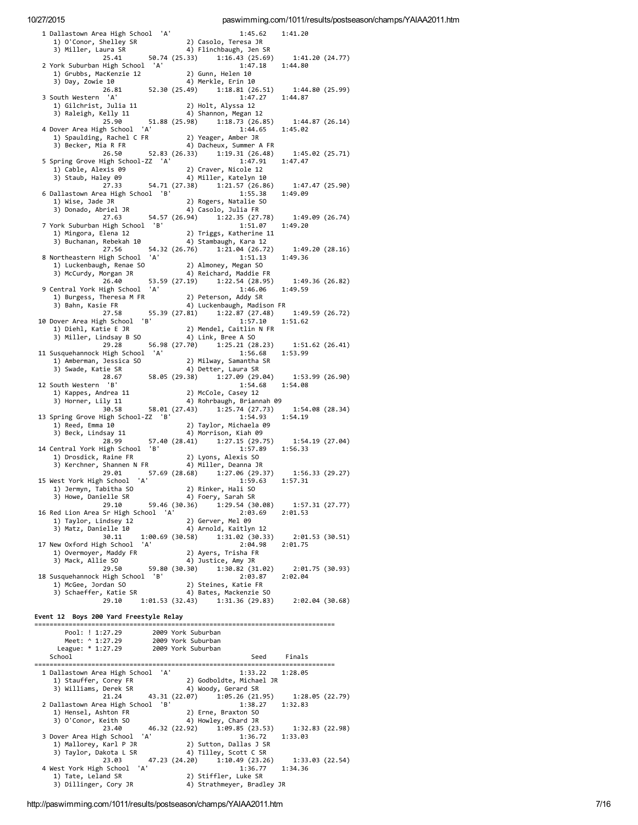| 1 Dallastown Area High School 'A'                                                                                                    | 1:45.62<br>1:41.20                                                            |  |
|--------------------------------------------------------------------------------------------------------------------------------------|-------------------------------------------------------------------------------|--|
| 1) O'Conor, Shelley SR                                                                                                               | 2) Casolo, Teresa JR                                                          |  |
| 3) Miller, Laura SR<br>25.41                                                                                                         | 4) Flinchbaugh, Jen SR<br>50.74 (25.33) 1:16.43 (25.69)<br>1:41.20 (24.77)    |  |
| 2 York Suburban High School 'A'                                                                                                      | 1:47.18<br>1:44.80                                                            |  |
| ork Suburban וובסח ברים בי 1) Grubbs, MacKenzie 12<br>1) Grubbs, MacKenzie 12                                                        | 2) Gunn, Helen 10                                                             |  |
| $26.81$ $52.30(25.49)$                                                                                                               | 4) Merkle, Erin 10                                                            |  |
| 3 South Western 'A'                                                                                                                  | 1:18.81(26.51)<br>1:44.80 (25.99)<br>1:47.27<br>1:44.87                       |  |
| outn western<br>1) Gilchrist, Julia 11<br>11 - Julia Kally 11                                                                        | 2) Holt, Alyssa 12                                                            |  |
|                                                                                                                                      | 4) Shannon, Megan 12                                                          |  |
| 25.90<br>4 Dover Area High School<br>'A'                                                                                             | 51.88(25.98)<br>1:44.87 (26.14)<br>1:18.73(26.85)<br>1:44.65<br>1:45.02       |  |
| 1) Spaulding, Rachel C FR               2) Yeager, Amber JR<br>3) Becker, Mia R FR                      4) Dacheux, Summer A FR      |                                                                               |  |
|                                                                                                                                      | $26.50$ 52.83 (26.33) 1:19.31 (26.48)                                         |  |
| 5 Spring Grove High School-ZZ 'A'                                                                                                    | 1:45.02(25.71)<br>1:47.91<br>1:47.47                                          |  |
| 1) Cable, Alexis 09                                                                                                                  | 2) Craver, Nicole 12                                                          |  |
| 3) Staub, Haley 09 (27.33 54.71 (27.38) 1:21.57 (26.86)                                                                              |                                                                               |  |
| 6 Dallastown Area High School 'B'                                                                                                    | 1:47.47 (25.90)<br>1:55.38<br>1:49.09                                         |  |
| 1) Wise, Jade JR                                                                                                                     | 2) Rogers, Natalie SO                                                         |  |
| 3) Donado, Abriel JR                                                                                                                 | 4) Casolo, Julia FR                                                           |  |
| 27.63<br>7 York Suburban High School 'B'                                                                                             | 54.57 (26.94) 1:22.35 (27.78) 1:49.09 (26.74)<br>1:51.07<br>1:49.20           |  |
| 1) Mingora, Elena 12                         2) Triggs, Katherine 1<br>3) Buchanan, Rebekah 10                 4) Stambaugh, Kara 12 | 2) Triggs, Katherine 11                                                       |  |
|                                                                                                                                      |                                                                               |  |
| 27.56<br>8 Northeastern High School 'A'                                                                                              | 54.32 (26.76) 1:21.04 (26.72)<br>1:49.20 (28.16)<br>1:51.13<br>1:49.36        |  |
| 1) Luckenbaugh, Renae SO                                                                                                             | 2) Almoney, Megan SO                                                          |  |
| 3) McCurdy, Morgan JR                                                                                                                | 4) Reichard, Maddie FR                                                        |  |
| 26.40<br>'A'<br>9 Central York High School                                                                                           | 53.59 (27.19) 1:22.54 (28.95) 1:49.36 (26.82)<br>1:46.06<br>1:49.59           |  |
| 1) Burgess, Theresa M FR (2) Peterson, Addy SR<br>3) Bahn, Kasie FR (4) Luckenbaugh, Madis                                           |                                                                               |  |
| 3) Bahn, Kasie FR                                                                                                                    | 4) Luckenbaugh, Madison FR                                                    |  |
| 10 Dover Area High School 'B'                                                                                                        | 27.58 55.39 (27.81) 1:22.87 (27.48) 1:49.59 (26.72)<br>1:57.10<br>1:51.62     |  |
|                                                                                                                                      | 2) Mendel, Caitlin N FR                                                       |  |
| 1) Diehl, Katie E JR<br>3) Miller, Lindsay B SO                                                                                      | 4) Link, Bree A SO                                                            |  |
| 29.28<br>11 Susquehannock High School 'A'                                                                                            | 56.98 (27.70) 1:25.21 (28.23)<br>1:51.62 (26.41)<br>1:56.68<br>1:53.99        |  |
| 1) Amberman, Jessica SO                                                                                                              | 2) Milway, Samantha SR                                                        |  |
| 3) Swade, Katie SR                                                                                                                   | 4) Detter, Laura SR                                                           |  |
| 12 South Western 'B'                                                                                                                 | 28.67 58.05 (29.38) 1:27.09 (29.04) 1:53.99 (26.90)<br>1:54.68<br>1:54.08     |  |
| 1) Kappes, Andrea 11                                                                                                                 | 2) McCole, Casey 12                                                           |  |
| 3) Horner, Lily 11                                                                                                                   | 4) Rohrbaugh, Briannah 09                                                     |  |
| 30.58<br>13 Spring Grove High School-ZZ 'B'                                                                                          | 58.01 (27.43) 1:25.74 (27.73)<br>1:54.08(28.34)<br>1:54.93<br>1:54.19         |  |
| 1) Reed, Emma 10                                                                                                                     | 2) Taylor, Michaela 09                                                        |  |
| 3) Beck, Lindsay 11                                                                                                                  | 4) Morrison, Kiah 09                                                          |  |
|                                                                                                                                      |                                                                               |  |
| $28.99$ 57.40 $(28.41)$                                                                                                              | 1:27.15 (29.75) 1:54.19 (27.04)                                               |  |
| 14 Central York High School 'B'<br>1) Drosdick, Raine FR                                                                             | 1:57.89<br>1:56.33<br>2) Lyons, Alexis SO                                     |  |
| 1) Drosdick, Kallie FK (2) Lyons, Alexis 30<br>3) Kerchner, Shannen N FR (4) Miller, Deanna JR                                       |                                                                               |  |
| 29.01                                                                                                                                | 57.69 (28.68) 1:27.06 (29.37) 1:56.33 (29.27)                                 |  |
| 15 West York High School 'A'<br>1) Jermyn, Tabitha SO                                                                                | 1:59.63<br>1:57.31                                                            |  |
| 3) Howe, Danielle SR                                                                                                                 | 2) Rinker, Hali SO<br>4) Foery, Sarah SR                                      |  |
|                                                                                                                                      | 29.10 59.46 (30.36) 1:29.54 (30.08)<br>1:57.31 (27.77)                        |  |
| 16 Red Lion Area Sr High School 'A'<br>1) Taylor, Lindsey 12                                                                         | 2:03.69<br>2:01.53<br>2) Gerver, Mel 09                                       |  |
| 3) Matz, Danielle 10                                                                                                                 | 4) Arnold, Kaitlyn 12                                                         |  |
| 30.11                                                                                                                                | 1:00.69 (30.58) 1:31.02 (30.33) 2:01.53 (30.51)                               |  |
| 17 New Oxford High School 'A'<br>1) Overmoyer, Maddy FR                                                                              | 2:04.98<br>2:01.75<br>2) Ayers, Trisha FR                                     |  |
| 3) Mack, Allie SO                                                                                                                    | 4) Justice, Amy JR                                                            |  |
|                                                                                                                                      | 29.50 59.80 (30.30) 1:30.82 (31.02)<br>2:01.75 (30.93)<br>2:03.87<br>2:02.04  |  |
| 18 Susquehannock High School 'B'<br>1) McGee, Jordan SO                                                                              | 2) Steines, Katie FR                                                          |  |
| 3) Schaeffer, Katie SR                                                                                                               | 4) Bates, Mackenzie SO                                                        |  |
|                                                                                                                                      | 29.10 1:01.53 (32.43) 1:31.36 (29.83) 2:02.04 (30.68)                         |  |
| Event 12 Boys 200 Yard Freestyle Relay                                                                                               |                                                                               |  |
|                                                                                                                                      |                                                                               |  |
|                                                                                                                                      |                                                                               |  |
| Pool: ! 1:27.29 2009 York Suburban<br>Meet: ^ 1:27.29 2009 York Suburban<br>League: * 1:27.29 2009 York Suburban                     |                                                                               |  |
| School                                                                                                                               | Seed Finals                                                                   |  |
| 1 Dallastown Area High School 'A'                                                                                                    | 1:33.22 1:28.05                                                               |  |
|                                                                                                                                      |                                                                               |  |
| 1) Stauffer, Corey FR<br>1) Stauffer, Corey FR<br>3) Williams, Derek SR<br>4) Woody, Gerard SR                                       |                                                                               |  |
| 2 Dallastown Area High School 'B'                                                                                                    | 21.24 $43.31 (22.07)$ $1.05.26 (21.95)$ 1:28.05 (22.79)<br>1:38.27<br>1:32.83 |  |
| 1) Hensel, Ashton FR                                                                                                                 | 2) Erne, Braxton SO                                                           |  |
|                                                                                                                                      |                                                                               |  |
| 3) O'Conor, Keith SO 4) Howley, Chard JR<br>23.40 46.32 (22.92) 1:09.85 (23.53)<br>3 Dover Area High School 'A'                      | 1:32.83 (22.98)<br>1:36.72<br>1:33.03                                         |  |
|                                                                                                                                      | 2) Sutton, Dallas J SR                                                        |  |
| over Arta Head<br>1) Mallorey, Karl P JR<br>Dokata L SR                                                                              | 4) Tilley, Scott C SR                                                         |  |
| 23.03 47.23 (24.20)<br>'A'<br>4 West York High School                                                                                | $1:10.49(23.26)$ $1:33.03(22.54)$<br>1:36.77 1:34.36                          |  |
| 1) Tate, Leland SR<br>3) Dillinger, Cory JR                                                                                          | 2) Stiffler, Luke SR<br>4) Strathmeyer, Bradley JR                            |  |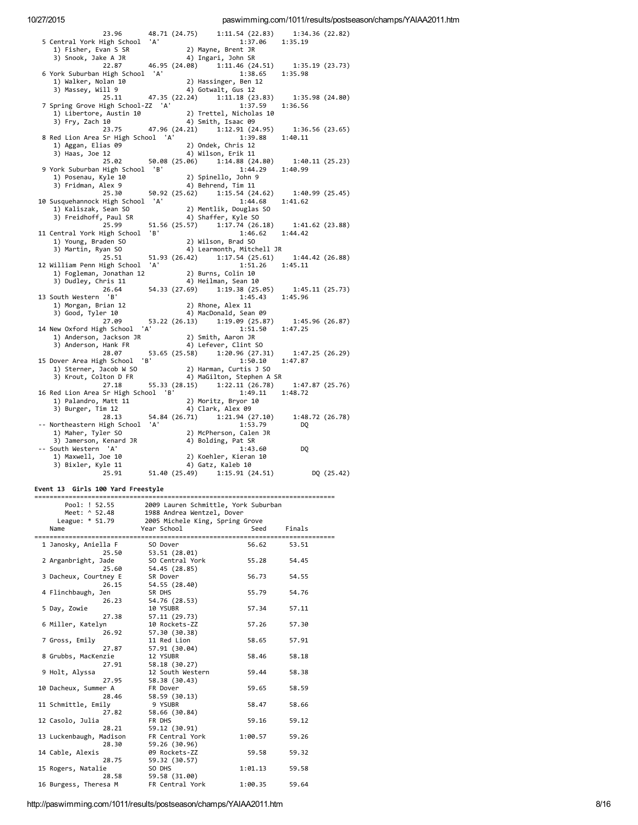| 23.96                                                                                                                                         |  | 48.71 (24.75) 1:11.54 (22.83) 1:34.36 (22.82)                                                                               |                |            |
|-----------------------------------------------------------------------------------------------------------------------------------------------|--|-----------------------------------------------------------------------------------------------------------------------------|----------------|------------|
| 5 Central York High School 'A'                                                                                                                |  | 1:37.06 1:35.19                                                                                                             |                |            |
| 1) Fisher, Evan S SR                                                                                                                          |  |                                                                                                                             |                |            |
| 3) Snook, Jake A JR                                                                                                                           |  |                                                                                                                             |                |            |
| 22.87                                                                                                                                         |  | R<br>2) Mayne, Brent JR<br>4) Ingari, John SR<br>46.95 (24.08) 1:11.46 (24.51) 1:35.19 (23.73)<br>chool 'A' 1:38.65 1:35.98 |                |            |
| 6 York Suburban High School 'A'                                                                                                               |  |                                                                                                                             |                |            |
| 1) Walker, Nolan 10                                                                                                                           |  | 2) Hassinger, Ben 12                                                                                                        |                |            |
| 3) Massey, Will 9                                                                                                                             |  | 4) Gotwalt, Gus 12                                                                                                          |                |            |
|                                                                                                                                               |  | 25.11 47.35 (22.24) 1:11.18 (23.83) 1:35.98 (24.80)                                                                         |                |            |
| 7 Spring Grove High School-ZZ 'A'                                                                                                             |  | 1:37.59                                                                                                                     | 1:36.56        |            |
| 1) Libertore, Austin $10$ $2)$ Trettel, Nicholas $10$<br>2) Env. Zach $10$<br>2) Env. Zach $10$                                               |  |                                                                                                                             |                |            |
| 3) Fry, Zach 10                                                                                                                               |  | 4) Smith, Isaac 09                                                                                                          |                |            |
|                                                                                                                                               |  | 23.75 47.96 (24.21) 1:12.91 (24.95) 1:36.56 (23.65)                                                                         |                |            |
| 8 Red Lion Area Sr High School 'A'                                                                                                            |  | 1:39.88 1:40.11                                                                                                             |                |            |
| 1) Aggan, Elias 09                                                                                                                            |  | 3. (as 89 (2) Unues, Collection 21<br>12 (25. 08 (25. 06) 1:14.88 (24. 80) 1:40.11 (25. 23)<br>1:44.29 1:40.99              |                |            |
| 3) Haas, Joe 12                                                                                                                               |  |                                                                                                                             |                |            |
|                                                                                                                                               |  |                                                                                                                             |                |            |
| 9 York Suburban High School 'B'                                                                                                               |  |                                                                                                                             |                |            |
| 1) Posenau, Kyle 10                                                                                                                           |  | 2) Spinello, John 9                                                                                                         |                |            |
| 3) Fridman, Alex 9                                                                                                                            |  | 4) Behrend, Tim 11                                                                                                          |                |            |
| 25.30                                                                                                                                         |  | 50.92 $(25.62)$ 1:15.54 $(24.62)$ 1:40.99 $(25.45)$                                                                         |                |            |
| 10 Susquehannock High School 'A'                                                                                                              |  | 1:44.68                                                                                                                     | 1:41.62        |            |
| 1) Kaliszak, Sean SO                                                                                                                          |  | 44.68 .<br>2) Mentlik, Douglas SO<br>4) Shaffar Union                                                                       |                |            |
| 3) Freidhoff, Paul SR                                                                                                                         |  | 4) Shaffer, Kyle SO                                                                                                         |                |            |
| 25.99                                                                                                                                         |  | 51.56 (25.57) 1:17.74 (26.18) 1:41.62 (23.88)                                                                               |                |            |
| 11 Central York High School 'B'                                                                                                               |  | $1:46.62$ $1:44.42$                                                                                                         |                |            |
| 1) Young, Braden SO                                                                                                                           |  | 1:46.<br>2) Wilson, Brad SO<br>4) اغتشموا (4                                                                                |                |            |
| 3) Martin, Ryan SO                                                                                                                            |  | 4) Learmonth, Mitchell JR                                                                                                   |                |            |
| 25.51                                                                                                                                         |  | 51.93 (26.42) 1:17.54 (25.61) 1:44.42 (26.88)                                                                               |                |            |
| 12 William Penn High School 'A'                                                                                                               |  | 1:51.26 1:45.11                                                                                                             |                |            |
|                                                                                                                                               |  |                                                                                                                             |                |            |
| 1) Fogleman, Jonathan 12 2) Burns, Colin 10<br>3) Dudley, Chris 11 4) Heilman, Sean 10<br>26.64 54.33 (27.69) 1:19.38 (25.05) 1:45.11 (25.73) |  |                                                                                                                             |                |            |
|                                                                                                                                               |  |                                                                                                                             |                |            |
| 13 South Western 'B'                                                                                                                          |  | 1:45.43 1:45.96                                                                                                             |                |            |
| 1) Morgan, Brian 12                                                                                                                           |  | 2) Rhone, Alex 11                                                                                                           |                |            |
| 3) Good, Tyler 10                                                                                                                             |  | 4) MacDonald, Sean 09                                                                                                       |                |            |
| 27.09                                                                                                                                         |  | 53.22 (26.13) 1:19.09 (25.87) 1:45.96 (26.87)                                                                               |                |            |
| 14 New Oxford High School 'A'                                                                                                                 |  | $1:51.50$ $1:47.25$                                                                                                         |                |            |
|                                                                                                                                               |  |                                                                                                                             |                |            |
|                                                                                                                                               |  |                                                                                                                             |                |            |
|                                                                                                                                               |  | 28.07 53.65 (25.58) 1:20.96 (27.31) 1:47.25 (26.29)                                                                         |                |            |
| 15 Dover Area High School 'B'                                                                                                                 |  | $1:50.10$ $1:47.87$                                                                                                         |                |            |
| 1) Sterner, Jacob W SO 2) Harman, Curtis J SU<br>2) Machine Colton D FR 4) MaGilton, Stephen A SR                                             |  |                                                                                                                             |                |            |
|                                                                                                                                               |  |                                                                                                                             |                |            |
|                                                                                                                                               |  |                                                                                                                             |                |            |
| 27.18                                                                                                                                         |  | 55.33 (28.15) 1:22.11 (26.78)                                                                                               | 1:47.87(25.76) |            |
| 16 Red Lion Area Sr High School 'B'                                                                                                           |  | $1:49.11$ $1:48.72$                                                                                                         |                |            |
| 1) Palandro, Matt 11                                                                                                                          |  | 2) Moritz, Bryor 10<br>4) Clark, Alex AQ                                                                                    |                |            |
| 3) Burger, Tim 12                                                                                                                             |  | 4) Clark, Alex 09                                                                                                           |                |            |
|                                                                                                                                               |  | 28.13 54.84 (26.71) 1:21.94 (27.10)                                                                                         | 1:48.72(26.78) |            |
| -- Northeastern High School 'A'                                                                                                               |  | 1:53.79                                                                                                                     | DO.            |            |
| 1) Maher, Tyler SO                                                                                                                            |  | 2) McPherson, Calen JR                                                                                                      |                |            |
| 3) Jamerson, Kenard JR                                                                                                                        |  | 4) Bolding, Pat SR                                                                                                          |                |            |
| -- South Western 'A'                                                                                                                          |  | 1:43.60                                                                                                                     | DQ             |            |
| 1) Maxwell, Joe 10                                                                                                                            |  | 1.43.00<br>2) Koehler, Kieran 10<br>4) Gatz Kaleh 10                                                                        |                |            |
| 3) Bixler, Kyle 11                                                                                                                            |  | 4) Gatz, Kaleb 10                                                                                                           |                |            |
| 25.91                                                                                                                                         |  | 51.40 (25.49) 1:15.91 (24.51)                                                                                               |                | DQ (25.42) |

# Event 13 Girls 100 Yard Freestyle

| Pool: ! 52.55           | 2009 Lauren Schmittle, York Suburban            |         |        |  |
|-------------------------|-------------------------------------------------|---------|--------|--|
|                         | Meet: ^ 52.48 1988 Andrea Wentzel, Dover        |         |        |  |
|                         | League: * 51.79 2005 Michele King, Spring Grove |         |        |  |
| Name                    | Year School                                     | Seed    | Finals |  |
|                         | ----------------                                |         |        |  |
| 1 Janosky, Aniella F    | SO Dover                                        | 56.62   | 53.51  |  |
| 25.50                   | 53.51 (28.01)                                   |         |        |  |
| 2 Arganbright, Jade     | SO Central York                                 | 55.28   | 54.45  |  |
| 25.60                   | 54.45 (28.85)                                   |         |        |  |
| 3 Dacheux, Courtney E   | SR Dover                                        | 56.73   | 54.55  |  |
| 26.15                   | 54.55 (28.40)                                   |         |        |  |
| 4 Flinchbaugh, Jen      | SR DHS                                          | 55.79   | 54.76  |  |
| 26.23                   | 54.76 (28.53)                                   |         |        |  |
| 5 Day, Zowie            | 10 YSUBR                                        | 57.34   | 57.11  |  |
| 27.38                   | 57.11 (29.73)                                   |         |        |  |
| 6 Miller, Katelyn       | 10 Rockets-ZZ                                   | 57.26   | 57.30  |  |
| 26.92                   | 57.30 (30.38)                                   |         |        |  |
| 7 Gross, Emily          | 11 Red Lion                                     | 58.65   | 57.91  |  |
| 27.87                   | 57.91 (30.04)                                   |         |        |  |
| 8 Grubbs, MacKenzie     | 12 YSUBR                                        | 58.46   | 58.18  |  |
| 27.91                   | 58.18 (30.27)                                   |         |        |  |
| 9 Holt, Alyssa          | 12 South Western                                | 59.44   | 58.38  |  |
| 27.95                   | 58.38 (30.43)                                   |         |        |  |
| 10 Dacheux, Summer A    | FR Dover                                        | 59.65   | 58.59  |  |
| 28.46                   | 58.59 (30.13)                                   |         |        |  |
| 11 Schmittle, Emily     | 9 YSUBR                                         | 58.47   | 58.66  |  |
| 27.82                   | 58.66 (30.84)                                   |         |        |  |
| 12 Casolo, Julia        | FR DHS                                          | 59.16   | 59.12  |  |
| 28.21                   | 59.12 (30.91)                                   |         |        |  |
| 13 Luckenbaugh, Madison | FR Central York                                 | 1:00.57 | 59.26  |  |
| 28.30                   | 59.26 (30.96)                                   |         |        |  |
| 14 Cable, Alexis        | 09 Rockets-ZZ                                   | 59.58   | 59.32  |  |
| 28.75                   | 59.32 (30.57)                                   |         |        |  |
| 15 Rogers, Natalie      | SO DHS                                          | 1:01.13 | 59.58  |  |
| 28.58                   | 59.58 (31.00)                                   |         |        |  |
| 16 Burgess, Theresa M   | FR Central York                                 | 1:00.35 | 59.64  |  |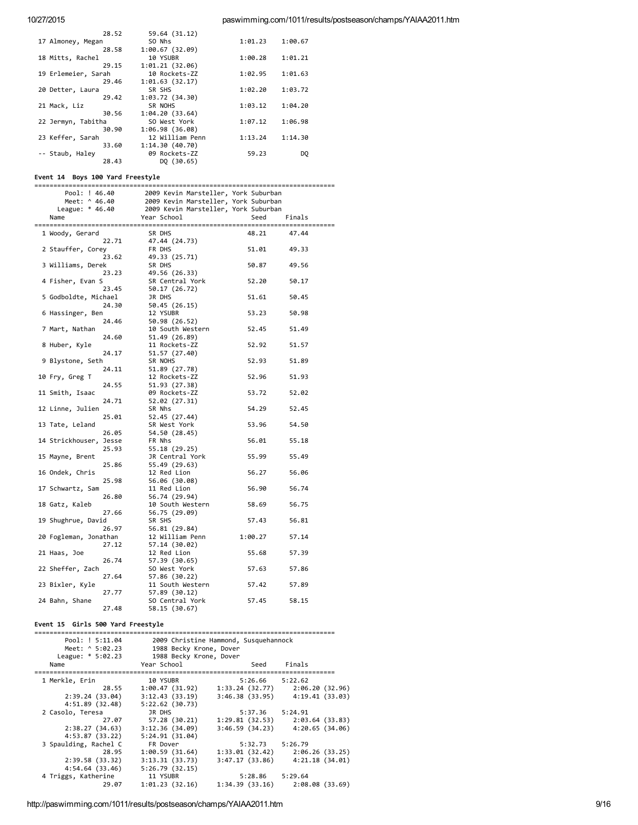| 28.52               | 59.64 (31.12)   |         |         |
|---------------------|-----------------|---------|---------|
| 17 Almoney, Megan   | SO Nhs          | 1:01.23 | 1:00.67 |
| 28.58               | 1:00.67(32.09)  |         |         |
| 18 Mitts, Rachel    | 10 YSUBR        | 1:00.28 | 1:01.21 |
| 29.15               | 1:01.21(32.06)  |         |         |
| 19 Erlemeier, Sarah | 10 Rockets-ZZ   | 1:02.95 | 1:01.63 |
| 29.46               | 1:01.63(32.17)  |         |         |
| 20 Detter, Laura    | SR SHS          | 1:02.20 | 1:03.72 |
| 29.42               | 1:03.72(34.30)  |         |         |
| 21 Mack, Liz        | SR NOHS         | 1:03.12 | 1:04.20 |
| 30.56               | 1:04.20(33.64)  |         |         |
| 22 Jermyn, Tabitha  | SO West York    | 1:07.12 | 1:06.98 |
| 30.90               | 1:06.98 (36.08) |         |         |
| 23 Keffer, Sarah    | 12 William Penn | 1:13.24 | 1:14.30 |
| 33.60               | 1:14.30(40.70)  |         |         |
| -- Staub, Haley     | 09 Rockets-ZZ   | 59.23   | DO      |
| 28.43               | DQ (30.65)      |         |         |

# Event 14 Boys 100 Yard Freestyle

| Pool: ! 46.40          |       | 2009 Kevin Marsteller, York Suburban                                                                           |         |        |
|------------------------|-------|----------------------------------------------------------------------------------------------------------------|---------|--------|
| Meet: ^ 46.40          |       | שטא גרעוו הם אכבברה, .<br>2009 Kevin Marsteller, York Suburban<br>2009 Kevin Marsteller, York Suburban<br>הeed |         |        |
| League: * 46.40        |       |                                                                                                                |         |        |
| Name                   |       | Year School                                                                                                    | Seed    | Finals |
|                        |       |                                                                                                                |         |        |
| 1 Woody, Gerard        |       | SR DHS                                                                                                         | 48.21   | 47.44  |
|                        | 22.71 | 47.44 (24.73)                                                                                                  |         |        |
| 2 Stauffer, Corey      |       | FR DHS                                                                                                         | 51.01   | 49.33  |
|                        | 23.62 | 49.33 (25.71)                                                                                                  |         |        |
| 3 Williams, Derek      |       | SR DHS                                                                                                         | 50.87   | 49.56  |
|                        | 23.23 | 49.56 (26.33)                                                                                                  |         |        |
| 4 Fisher, Evan S       |       | SR Central York                                                                                                | 52.20   | 50.17  |
|                        | 23.45 | 50.17 (26.72)                                                                                                  |         |        |
| 5 Godboldte, Michael   |       | JR DHS                                                                                                         | 51.61   | 50.45  |
|                        | 24.30 | 50.45 (26.15)                                                                                                  |         |        |
| 6 Hassinger, Ben       |       | 12 YSUBR                                                                                                       | 53.23   | 50.98  |
|                        | 24.46 | 50.98 (26.52)                                                                                                  |         |        |
| 7 Mart, Nathan         |       | 10 South Western                                                                                               | 52.45   | 51.49  |
|                        | 24.60 | 51.49 (26.89)                                                                                                  |         |        |
| 8 Huber, Kyle          |       | 11 Rockets-ZZ                                                                                                  | 52.92   | 51.57  |
|                        | 24.17 | 51.57 (27.40)                                                                                                  |         |        |
| 9 Blystone, Seth       |       | SR NOHS                                                                                                        | 52.93   | 51.89  |
|                        | 24.11 | 51.89 (27.78)                                                                                                  |         |        |
| 10 Fry, Greg T         |       | 12 Rockets-ZZ                                                                                                  | 52.96   | 51.93  |
| 11 Smith, Isaac        | 24.55 | 51.93 (27.38)                                                                                                  |         | 52.02  |
|                        | 24.71 | 09 Rockets-ZZ                                                                                                  | 53.72   |        |
| 12 Linne, Julien       |       | 52.02 (27.31)<br>SR Nhs                                                                                        | 54.29   | 52.45  |
|                        | 25.01 | 52.45 (27.44)                                                                                                  |         |        |
| 13 Tate, Leland        |       | SR West York                                                                                                   | 53.96   | 54.50  |
|                        | 26.05 | 54.50 (28.45)                                                                                                  |         |        |
| 14 Strickhouser, Jesse |       | FR Nhs                                                                                                         | 56.01   | 55.18  |
|                        | 25.93 | 55.18 (29.25)                                                                                                  |         |        |
| 15 Mayne, Brent        |       | JR Central York                                                                                                | 55.99   | 55.49  |
|                        | 25.86 | 55.49 (29.63)                                                                                                  |         |        |
| 16 Ondek, Chris        |       | 12 Red Lion                                                                                                    | 56.27   | 56.06  |
|                        | 25.98 | 56.06 (30.08)                                                                                                  |         |        |
| 17 Schwartz, Sam       |       | 11 Red Lion                                                                                                    | 56.90   | 56.74  |
|                        | 26.80 | 56.74 (29.94)                                                                                                  |         |        |
| 18 Gatz, Kaleb         |       | 10 South Western                                                                                               | 58.69   | 56.75  |
|                        | 27.66 | 56.75 (29.09)                                                                                                  |         |        |
| 19 Shughrue, David     |       | SR SHS                                                                                                         | 57.43   | 56.81  |
|                        | 26.97 | 56.81 (29.84)                                                                                                  |         |        |
| 20 Fogleman, Jonathan  |       | 12 William Penn                                                                                                | 1:00.27 | 57.14  |
|                        | 27.12 | 57.14 (30.02)                                                                                                  |         |        |
| 21 Haas, Joe           |       | 12 Red Lion                                                                                                    | 55.68   | 57.39  |
|                        | 26.74 | 57.39 (30.65)                                                                                                  |         |        |
| 22 Sheffer, Zach       |       | SO West York                                                                                                   | 57.63   | 57.86  |
|                        | 27.64 | 57.86 (30.22)                                                                                                  |         |        |
| 23 Bixler, Kyle        |       | 11 South Western                                                                                               | 57.42   | 57.89  |
|                        | 27.77 | 57.89 (30.12)                                                                                                  |         |        |
| 24 Bahn, Shane         |       | SO Central York                                                                                                | 57.45   | 58.15  |
|                        | 27.48 | 58.15 (30.67)                                                                                                  |         |        |

# Event 15 Girls 500 Yard Freestyle

| Pool: ! 5:11.04       |                         | 2009 Christine Hammond, Susquehannock |                                     |
|-----------------------|-------------------------|---------------------------------------|-------------------------------------|
| Meet: ^ 5:02.23       | 1988 Becky Krone, Dover |                                       |                                     |
| League: * 5:02.23     | 1988 Becky Krone, Dover |                                       |                                     |
| Name                  | Year School             | Seed                                  | Finals                              |
| 1 Merkle, Erin        | 10 YSUBR                | $5:26.66$ $5:22.62$                   |                                     |
| 28.55                 | 1:00.47 (31.92)         |                                       | 1:33.24 (32.77) 2:06.20 (32.96)     |
| 2:39.24(33.04)        | 3:12.43(33.19)          |                                       | $3:46.38$ (33.95) $4:19.41$ (33.03) |
| 4:51.89(32.48)        | 5:22.62(30.73)          |                                       |                                     |
| 2 Casolo, Teresa      | JR DHS                  | 5:37.36 5:24.91                       |                                     |
| 27.07                 | 57.28 (30.21)           |                                       | $1:29.81(32.53)$ $2:03.64(33.83)$   |
| 2:38.27(34.63)        | 3:12.36 (34.09)         |                                       | $3:46.59(34.23)$ $4:20.65(34.06)$   |
| 4:53.87(33.22)        | 5:24.91(31.04)          |                                       |                                     |
| 3 Spaulding, Rachel C | FR Dover                | 5:32.73 5:26.79                       |                                     |
| 28.95                 | 1:00.59(31.64)          |                                       | $1:33.01(32.42)$ $2:06.26(33.25)$   |
| 2:39.58(33.32)        | 3:13.31(33.73)          |                                       | $3:47.17(33.86)$ $4:21.18(34.01)$   |
| 4:54.64(33.46)        | 5:26.79(32.15)          |                                       |                                     |
| 4 Triggs, Katherine   | 11 YSUBR                | 5:28.86 5:29.64                       |                                     |
| 29.07                 | 1:01.23(32.16)          |                                       | $1:34.39(33.16)$ $2:08.08(33.69)$   |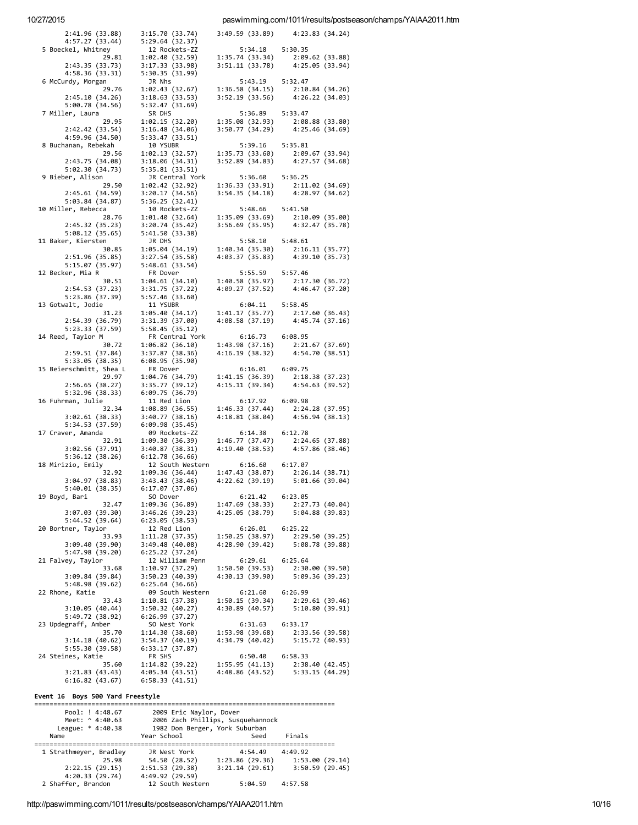### paswimming.com/1011/results/postseason/champs/YAIAA2011.htm

| 2:41.96(33.88)                     | 3:15.70 (33.74)                                                                                                                                          |                                    | 3:49.59 (33.89) 4:23.83 (34.24)                                                                                             |
|------------------------------------|----------------------------------------------------------------------------------------------------------------------------------------------------------|------------------------------------|-----------------------------------------------------------------------------------------------------------------------------|
| 4:57.27 (33.44)                    | 5:29.64(32.37)                                                                                                                                           |                                    |                                                                                                                             |
| 5 Boeckel, Whitney                 | 12 Rockets-ZZ                                                                                                                                            | 5:34.18 5:30.35                    |                                                                                                                             |
| 29.81                              | 1:02.40(32.59)                                                                                                                                           |                                    | $\begin{array}{lll} 1:35.74 & (33.34) & \quad 2:09.62 & (33.88) \\ 3:51.11 & (33.78) & \quad 4:25.05 & (33.94) \end{array}$ |
| 2:43.35 (33.73)<br>4:58.36 (33.31) | 3:17.33(33.98)<br>5:30.35 (31.99)                                                                                                                        |                                    |                                                                                                                             |
| 6 McCurdy, Morgan                  | JR Nhs                                                                                                                                                   | 5:43.19 5:32.47                    |                                                                                                                             |
| 29.76                              | 1:02.43(32.67)                                                                                                                                           |                                    |                                                                                                                             |
| 2:45.10(34.26)                     | 3:18.63(33.53)                                                                                                                                           |                                    | $\begin{array}{llll} 1:36.58 & (34.15) & 2:10.84 & (34.26) \\ 3:52.19 & (33.56) & 4:26.22 & (34.03) \end{array}$            |
| 5:00.78(34.56)                     | 5:32.47(31.69)                                                                                                                                           |                                    |                                                                                                                             |
| 7 Miller, Laura                    | SR DHS                                                                                                                                                   | 5:36.89 5:33.47                    |                                                                                                                             |
| 29.95<br>2:42.42 (33.54)           | 1:02.15(32.20)<br>3:16.48(34.06)                                                                                                                         |                                    | 1:35.08 (32.93) 2:08.88 (33.80)<br>3:50.77 (34.29) 4:25.46 (34.69)                                                          |
| 4:59.96 (34.50)                    | 5:33.47(33.51)                                                                                                                                           |                                    |                                                                                                                             |
| 8 Buchanan, Rebekah                | 10 YSUBR                                                                                                                                                 | 5:39.16 5:35.81                    |                                                                                                                             |
| 29.56                              | 1:02.13(32.57)                                                                                                                                           |                                    |                                                                                                                             |
| 2:43.75 (34.08)                    | 3:18.06(34.31)                                                                                                                                           |                                    | $\begin{array}{lll} 1:35.73 & (33.60) & \quad 2:09.67 & (33.94) \\ 3:52.89 & (34.83) & \quad 4:27.57 & (34.68) \end{array}$ |
| 5:02.30 (34.73)                    | 5:35.81(33.51)                                                                                                                                           |                                    |                                                                                                                             |
| 9 Bieber, Alison                   | JR Central York                                                                                                                                          | 5:36.60 5:36.25                    |                                                                                                                             |
| 29.50<br>2:45.61(34.59)            | 1:02.42 (32.92)<br>3:20.17(34.56)                                                                                                                        |                                    | $\begin{array}{lll} 1:36.33 & (33.91) & 2:11.02 & (34.69) \\ 3:54.35 & (34.18) & 4:28.97 & (34.62) \end{array}$             |
| 5:03.84(34.87)                     | 5:36.25(32.41)                                                                                                                                           |                                    |                                                                                                                             |
| 10 Miller, Rebecca                 | 10 Rockets-ZZ                                                                                                                                            | 5:48.66 5:41.50                    |                                                                                                                             |
| 28.76                              | 1:01.40 (32.64)                                                                                                                                          |                                    | $\begin{array}{lll} 1:35.09 & (33.69) & 2:10.09 & (35.00) \\ 3:56.69 & (35.95) & 4:32.47 & (35.78) \end{array}$             |
| 2:45.32(35.23)                     | 3:20.74(35.42)                                                                                                                                           |                                    |                                                                                                                             |
| 5:08.12(35.65)                     | 5:41.50(33.38)                                                                                                                                           |                                    |                                                                                                                             |
| 11 Baker, Kiersten                 | JR DHS                                                                                                                                                   | 5:58.10 5:48.61                    |                                                                                                                             |
| 30.85<br>2:51.96(35.85)            | 1:05.04(34.19)<br>3:27.54(35.58)                                                                                                                         |                                    | $\begin{array}{lll} 1:40.34 & (35.30) & \quad 2:16.11 & (35.77) \\ 4:03.37 & (35.83) & \quad 4:39.10 & (35.73) \end{array}$ |
| 5:15.07(35.97)                     | 5:48.61(33.54)                                                                                                                                           |                                    |                                                                                                                             |
| 12 Becker, Mia R                   | FR Dover                                                                                                                                                 | 5:55.59 5:57.46                    |                                                                                                                             |
| 30.51                              | $\begin{array}{cccc} 1:04.61 & (34.10) & 1:40.58 & (35.97) & 2:17.30 & (36.72) \\ 3:31.75 & (37.22) & 4:09.27 & (37.52) & 4:46.47 & (37.20) \end{array}$ |                                    |                                                                                                                             |
| 2:54.53(37.23)                     |                                                                                                                                                          |                                    |                                                                                                                             |
| 5:23.86 (37.39)                    | 5:57.46 (33.60)                                                                                                                                          |                                    |                                                                                                                             |
| 13 Gotwalt, Jodie                  | 11 YSUBR                                                                                                                                                 | $6:04.11$ $5:58.45$                |                                                                                                                             |
| 31.23<br>2:54.39(36.79)            | 1:05.40(34.17)<br>3:31.39 (37.00)                                                                                                                        |                                    | 1:41.17 (35.77) 2:17.60 (36.43)<br>4:08.58 (37.19) 4:45.74 (37.16)                                                          |
| 5:23.33 (37.59)                    | 5:58.45(35.12)                                                                                                                                           |                                    |                                                                                                                             |
| 14 Reed, Taylor M                  | FR Central York                                                                                                                                          | 6:16.73 6:08.95                    |                                                                                                                             |
| 30.72                              | 1:06.82(36.10)                                                                                                                                           |                                    |                                                                                                                             |
| 2:59.51(37.84)                     | 3:37.87(38.36)                                                                                                                                           |                                    | $\begin{array}{lll} 1:43.98 & (37.16) & \quad 2:21.67 & (37.69) \\ 4:16.19 & (38.32) & \quad 4:54.70 & (38.51) \end{array}$ |
| 5:33.05(38.35)                     | 6:08.95 (35.90)                                                                                                                                          |                                    |                                                                                                                             |
| 15 Beierschmitt, Shea L            | FR Dover                                                                                                                                                 | 6:16.01 6:09.75                    |                                                                                                                             |
| 29.97                              | 1:04.76 (34.79)                                                                                                                                          |                                    | $\begin{array}{lll} 1:41.15 & (36.39) & 2:18.38 & (37.23) \\ 4:15.11 & (39.34) & 4:54.63 & (39.52) \end{array}$             |
| 2:56.65(38.27)<br>5:32.96(38.33)   | 3:35.77(39.12)<br>6:09.75(36.79)                                                                                                                         |                                    |                                                                                                                             |
| 16 Fuhrman, Julie                  | 11 Red Lion                                                                                                                                              | 6:17.92 6:09.98                    |                                                                                                                             |
| 32.34                              | 1:08.89(36.55)                                                                                                                                           |                                    |                                                                                                                             |
| 3:02.61(38.33)                     | 3:40.77(38.16)                                                                                                                                           |                                    | $\begin{array}{lll} 1:46.33 & (37.44) & & 2:24.28 & (37.95) \\ 4:18.81 & (38.04) & & 4:56.94 & (38.13) \end{array}$         |
| 5:34.53 (37.59)                    | 6:09.98(35.45)                                                                                                                                           |                                    |                                                                                                                             |
| 17 Craver, Amanda                  | 09 Rockets-ZZ                                                                                                                                            | 6:14.38 6:12.78                    |                                                                                                                             |
| 32.91<br>3:02.56(37.91)            | 1:09.30(36.39)<br>3:40.87(38.31)                                                                                                                         |                                    | $\begin{array}{lll} 1:46.77 & (37.47) & \quad 2:24.65 & (37.88) \\ 4:19.40 & (38.53) & \quad 4:57.86 & (38.46) \end{array}$ |
| 5:36.12(38.26)                     | 6:12.78(36.66)                                                                                                                                           |                                    |                                                                                                                             |
| 18 Mirizio, Emily                  | 12 South Western                                                                                                                                         | $6:16.60$ $6:17.07$                |                                                                                                                             |
| 32.92                              | 1:09.36(36.44)                                                                                                                                           |                                    |                                                                                                                             |
| 3:04.97(38.83)                     | 3:43.43(38.46)                                                                                                                                           |                                    | 1:47.43 (38.07) 2:26.14 (38.71)<br>4:22.62 (39.19) 5:01.66 (39.04)                                                          |
| 5:40.01(38.35)                     | 6:17.07(37.06)                                                                                                                                           |                                    |                                                                                                                             |
| 19 Boyd, Bari                      | SO Dover                                                                                                                                                 | 6:21.42                            | 6:23.05                                                                                                                     |
| 32.47<br>3:07.03 (39.30)           | 1:09.36 (36.89)<br>3:46.26 (39.23)                                                                                                                       | 1:47.69(38.33)<br>4:25.05(38.79)   | 2:27.73 (40.04)<br>5:04.88 (39.83)                                                                                          |
| 5:44.52(39.64)                     | 6:23.05(38.53)                                                                                                                                           |                                    |                                                                                                                             |
| 20 Bortner, Taylor                 | 12 Red Lion                                                                                                                                              | 6:26.01                            | 6:25.22                                                                                                                     |
| 33.93                              | 1:11.28(37.35)                                                                                                                                           | 1:50.25(38.97)                     | 2:29.50(39.25)                                                                                                              |
| 3:09.40 (39.90)                    | 3:49.48 (40.08)                                                                                                                                          | 4:28.90 (39.42)                    | 5:08.78 (39.88)                                                                                                             |
| 5:47.98 (39.20)                    | 6:25.22(37.24)                                                                                                                                           |                                    |                                                                                                                             |
| 21 Falvey, Taylor                  | 12 William Penn                                                                                                                                          | 6:29.61                            | 6:25.64                                                                                                                     |
| 33.68<br>3:09.84 (39.84)           | 1:10.97(37.29)<br>3:50.23(40.39)                                                                                                                         | 1:50.50(39.53)<br>4:30.13 (39.90)  | 2:30.00 (39.50)<br>5:09.36 (39.23)                                                                                          |
| 5:48.98 (39.62)                    | 6:25.64(36.66)                                                                                                                                           |                                    |                                                                                                                             |
| 22 Rhone, Katie                    | 09 South Western                                                                                                                                         | 6:21.60                            | 6:26.99                                                                                                                     |
| 33.43                              | 1:10.81(37.38)                                                                                                                                           | 1:50.15(39.34)                     | 2:29.61 (39.46)                                                                                                             |
| 3:10.05(40.44)                     | 3:50.32(40.27)                                                                                                                                           | 4:30.89(40.57)                     | 5:10.80(39.91)                                                                                                              |
| 5:49.72 (38.92)                    | 6:26.99(37.27)                                                                                                                                           |                                    |                                                                                                                             |
| 23 Updegraff, Amber                | SO West York                                                                                                                                             | 6:31.63                            | 6:33.17                                                                                                                     |
| 35.70                              | 1:14.30(38.60)                                                                                                                                           | 1:53.98 (39.68)<br>4:34.79 (40.42) | 2:33.56 (39.58)<br>5:15.72(40.93)                                                                                           |
| 3:14.18 (40.62)<br>5:55.30 (39.58) | 3:54.37 (40.19)<br>6:33.17 (37.87)                                                                                                                       |                                    |                                                                                                                             |
| 24 Steines, Katie                  | FR SHS                                                                                                                                                   | 6:50.40                            | 6:58.33                                                                                                                     |
| 35.60                              | 1:14.82(39.22)                                                                                                                                           | 1:55.95(41.13)                     | 2:38.40 (42.45)                                                                                                             |
| 3:21.83 (43.43)                    | 4:05.34(43.51)                                                                                                                                           | 4:48.86 (43.52)                    | 5:33.15 (44.29)                                                                                                             |
|                                    |                                                                                                                                                          |                                    |                                                                                                                             |
| 6:16.82 (43.67)                    | 6:58.33(41.51)                                                                                                                                           |                                    |                                                                                                                             |

#### Event 16 Boys 500 Yard Freestyle

| Pool: ! 4:48.67        | 2009 Eric Naylor, Dover           |                |                |  |  |
|------------------------|-----------------------------------|----------------|----------------|--|--|
| Meet: ^ 4:40.63        | 2006 Zach Phillips, Susquehannock |                |                |  |  |
| League: * 4:40.38      | 1982 Don Berger, York Suburban    |                |                |  |  |
| Name                   | Year School                       | Seed           | Finals         |  |  |
|                        |                                   |                |                |  |  |
| 1 Strathmeyer, Bradley | JR West York                      | 4:54.49        | 4:49.92        |  |  |
| 25.98                  | 54.50 (28.52)                     | 1:23.86(29.36) | 1:53.00(29.14) |  |  |
| 2:22.15(29.15)         | 2:51.53(29.38)                    | 3:21.14(29.61) | 3:50.59(29.45) |  |  |
| 4:20.33(29.74)         | 4:49.92 (29.59)                   |                |                |  |  |
| 2 Shaffer, Brandon     | 12 South Western                  | 5:04.59        | 4:57.58        |  |  |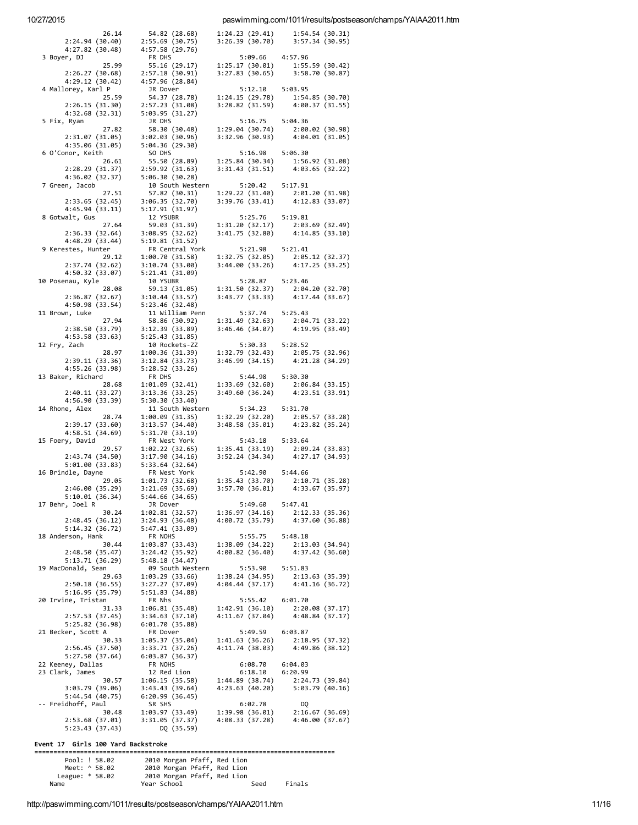### paswimming.com/1011/results/postseason/champs/YAIAA2011.htm

| 26.14                              | 54.82 (28.68)                                                                                                                  |                    | $1:24.23$ (29.41) $1:54.54$ (30.31)                                                                                         |
|------------------------------------|--------------------------------------------------------------------------------------------------------------------------------|--------------------|-----------------------------------------------------------------------------------------------------------------------------|
| 2:24.94(30.40)                     |                                                                                                                                |                    | $3:26.39(30.70)$ $3:57.34(30.95)$                                                                                           |
| 4:27.82(30.48)                     | 2:55.69 (30.75)<br>4:57.58 (29.76)                                                                                             |                    |                                                                                                                             |
| 3 Boyer, DJ                        | FR DHS                                                                                                                         | 5:09.66 4:57.96    |                                                                                                                             |
| 25.99                              | 55.16 (29.17)                                                                                                                  |                    | 1:25.17 (30.01) 1:55.59 (30.42)<br>3:27.83 (30.65) 3:58.70 (30.87)                                                          |
| 2:26.27(30.68)                     | 2:57.18(30.91)                                                                                                                 |                    |                                                                                                                             |
| 4:29.12(30.42)                     | 4:57.96 (28.84)                                                                                                                |                    |                                                                                                                             |
| 4 Mallorey, Karl P                 | JR Dover                                                                                                                       |                    | 5:12.10 5:03.95<br>1:24.15 (29.78) 1:54.85 (30.70)<br>3:28.82 (31.59) 4:00.37 (31.55)                                       |
| 25.59                              | 54.37 (28.78)                                                                                                                  |                    |                                                                                                                             |
| 2:26.15(31.30)                     | 2:57.23 (31.08)                                                                                                                |                    |                                                                                                                             |
| 4:32.68 (32.31)                    | 5:03.95(31.27)                                                                                                                 |                    |                                                                                                                             |
| 5 Fix, Ryan                        | JR DHS                                                                                                                         | 5:16.75 5:04.36    |                                                                                                                             |
| 27.82                              | 58.30 (30.48)                                                                                                                  |                    | $1:29.04 (30.74) 2:00.02 (30.98)$<br>$3:32.96 (30.93) 4:04.01 (31.05)$                                                      |
| 2:31.07 (31.05)                    | 3:02.03 (30.96)                                                                                                                |                    |                                                                                                                             |
| 4:35.06 (31.05)                    | 5:04.36(29.30)                                                                                                                 |                    |                                                                                                                             |
| 6 O'Conor, Keith                   | SO DHS                                                                                                                         | 5:16.98 5:06.30    |                                                                                                                             |
| 26.61                              | 55.50 (28.89)                                                                                                                  |                    | $\begin{array}{lll} 1:25.84 & (30.34) & \quad 1:56.92 & (31.08) \\ 3:31.43 & (31.51) & \quad 4:03.65 & (32.22) \end{array}$ |
| 2:28.29 (31.37)                    | 2:59.92(31.63)                                                                                                                 |                    |                                                                                                                             |
| 4:36.02 (32.37)                    | 5:06.30 (30.28)                                                                                                                |                    |                                                                                                                             |
| 7 Green, Jacob                     | 10 South Western                                                                                                               | 5:20.42 5:17.91    |                                                                                                                             |
|                                    |                                                                                                                                |                    | $\begin{array}{lll} 1:29.22 & (31.40) & 2:01.20 & (31.98) \\ 3:39.76 & (33.41) & 4:12.83 & (33.07) \end{array}$             |
|                                    | 11, 3acco 127.51 57.82 (30.31)<br>2:33.65 (32.45) 3:06.35 (32.70)<br>4:45.94 (33.11) 5:17.91 (31.97)                           |                    |                                                                                                                             |
|                                    |                                                                                                                                |                    |                                                                                                                             |
| 8 Gotwalt, Gus                     | 12 YSUBR                                                                                                                       | 5:25.76 5:19.81    |                                                                                                                             |
| 27.64                              | $59.03$ (31.39) $1:31.20$ (32.17) $2:03.69$ (32.49)                                                                            |                    |                                                                                                                             |
| 2:36.33(32.64)                     | (1.39)<br>3:08.95 (32.62)<br>5:19 01 1                                                                                         | 3:41.75(32.80)     | 4:14.85 (33.10)                                                                                                             |
| 4:48.29 (33.44)                    | 5:19.81(31.52)<br>FR Central York                                                                                              | 5:21.98 5:21.41    |                                                                                                                             |
| 9 Kerestes, Hunter                 |                                                                                                                                |                    |                                                                                                                             |
| 29.12                              | 1:00.70 (31.58) 1:32.75 (32.05) 2:05.12 (32.37)                                                                                |                    |                                                                                                                             |
| 2:37.74 (32.62)<br>4:50.32(33.07)  | 3:10.74 (33.00)<br>3:10.74 (33.00)<br>5:21.41 (31.09)                                                                          |                    | 3:44.00 (33.26) 4:17.25 (33.25)                                                                                             |
| 10 Posenau, Kyle                   | 10 YSUBR                                                                                                                       | 5:28.87    5:23.46 |                                                                                                                             |
| 28.08                              |                                                                                                                                |                    |                                                                                                                             |
| 2:36.87(32.67)                     | 10 YSUBR<br>59.13 (31.05) 1:31.50 (32.37) 2:04.20 (32.70)<br>3:10.44 (33.57) 3:43.77 (33.33) 4:17.44 (33.67)<br>3:10.44(33.57) |                    |                                                                                                                             |
| 4:50.98(33.54)                     | 5:23.46(32.48)                                                                                                                 |                    |                                                                                                                             |
| 11 Brown, Luke                     | 11 William Penn                                                                                                                | 5:37.74 5:25.43    |                                                                                                                             |
| 27.94                              | 58.86 (30.92)                                                                                                                  |                    |                                                                                                                             |
| 2:38.50(33.79)                     | 3:12.39(33.89)                                                                                                                 |                    | 1:31.49 (32.63) 2:04.71 (33.22)<br>3:46.46 (34.07) 4:19.95 (33.49)                                                          |
| 4:53.58(33.63)                     | 5:25.43(31.85)                                                                                                                 |                    |                                                                                                                             |
| 12 Fry, Zach                       | 10 Rockets-ZZ                                                                                                                  | 5:30.33 5:28.52    |                                                                                                                             |
| 28.97                              | 1:00.36(31.39)                                                                                                                 |                    | $1:32.79$ (32.43) $2:05.75$ (32.96)<br>3:46.99 (34.15) $4:21.28$ (34.29)                                                    |
| 2:39.11 (33.36)                    | 3:12.84 (33.73)                                                                                                                |                    |                                                                                                                             |
| 4:55.26 (33.98)                    | 5:28.52(33.26)                                                                                                                 |                    |                                                                                                                             |
| 13 Baker, Richard                  | FR DHS                                                                                                                         |                    |                                                                                                                             |
| 28.68                              | 1:01.09(32.41)                                                                                                                 |                    | 5:44.98 5:30.30<br>1:33.69 (32.60) 2:06.84 (33.15)<br>3:49.60 (36.24) 4:23.51 (33.91)                                       |
| 2:40.11(33.27)                     | 3:13.36(33.25)                                                                                                                 |                    |                                                                                                                             |
| 4:56.90 (33.39)                    | 5:30.30(33.40)                                                                                                                 |                    |                                                                                                                             |
| 14 Rhone, Alex                     | 11 South Western                                                                                                               | 5:34.23 5:31.70    |                                                                                                                             |
| 28.74                              | 1:00.09(31.35)                                                                                                                 |                    | $\begin{array}{lll} 1:32.29 & (32.20) & 2:05.57 & (33.28) \\ 3:48.58 & (35.01) & 4:23.82 & (35.24) \end{array}$             |
| 2:39.17(33.60)                     | 3:13.57(34.40)                                                                                                                 |                    |                                                                                                                             |
| 4:58.51 (34.69)                    | 5:31.70(33.19)                                                                                                                 |                    |                                                                                                                             |
| 15 Foery, David                    | FR West York                                                                                                                   | 5:43.18 5:33.64    |                                                                                                                             |
| 29.57                              | 1:02.22(32.65)                                                                                                                 |                    | 1:35.41 (33.19) 2:09.24 (33.83)<br>3:52.24 (34.34) 4:27.17 (34.93)                                                          |
| 2:43.74(34.50)                     | 3:17.90 (34.16)                                                                                                                |                    |                                                                                                                             |
| 5:01.00(33.83)                     | 5:33.64 (32.64)                                                                                                                |                    |                                                                                                                             |
| 16 Brindle, Dayne                  | FR West York                                                                                                                   | 5:42.90 5:44.66    |                                                                                                                             |
| 29.05                              | 1:01.73(32.68)                                                                                                                 |                    | $1:35.43$ (33.70) $2:10.71$ (35.28)<br>$3:57.70$ (36.01) $4:33.67$ (35.97)                                                  |
| 2:46.00(35.29)                     | 3:21.69(35.69)                                                                                                                 |                    |                                                                                                                             |
| 5:10.01 (36.34)                    | 5:44.66 (34.65)                                                                                                                |                    |                                                                                                                             |
| 17 Behr, Joel R                    | JR Dover                                                                                                                       | 5:49.60            | 5:47.41                                                                                                                     |
| 30.24                              | 1:02.81(32.57)                                                                                                                 | 1:36.97(34.16)     | 2:12.33(35.36)                                                                                                              |
| 2:48.45(36.12)                     | 3:24.93(36.48)                                                                                                                 | 4:00.72 (35.79)    | 4:37.60 (36.88)                                                                                                             |
| 5:14.32 (36.72)                    | 5:47.41(33.09)<br>FR NOHS                                                                                                      | 5:55.75            | 5:48.18                                                                                                                     |
| 18 Anderson, Hank<br>30.44         | 1:03.87 (33.43)                                                                                                                | 1:38.09 (34.22)    | 2:13.03 (34.94)                                                                                                             |
|                                    |                                                                                                                                |                    |                                                                                                                             |
| 2:48.50 (35.47)<br>5:13.71 (36.29) |                                                                                                                                |                    |                                                                                                                             |
|                                    | 3:24.42 (35.92)                                                                                                                | 4:00.82 (36.40)    | 4:37.42 (36.60)                                                                                                             |
|                                    | 5:48.18(34.47)                                                                                                                 |                    |                                                                                                                             |
| 19 MacDonald, Sean                 | 09 South Western                                                                                                               | 5:53.90            | 5:51.83                                                                                                                     |
| 29.63                              | 1:03.29(33.66)                                                                                                                 | 1:38.24(34.95)     | 2:13.63 (35.39)                                                                                                             |
| 2:50.18(36.55)                     | 3:27.27 (37.09)                                                                                                                | 4:04.44(37.17)     | 4:41.16 (36.72)                                                                                                             |
| 5:16.95(35.79)                     | 5:51.83(34.88)                                                                                                                 | 5:55.42            |                                                                                                                             |
| 20 Irvine, Tristan<br>31.33        | FR Nhs<br>1:06.81(35.48)                                                                                                       | 1:42.91(36.10)     | 6:01.70<br>2:20.08(37.17)                                                                                                   |
| 2:57.53(37.45)                     | 3:34.63(37.10)                                                                                                                 | 4:11.67(37.04)     |                                                                                                                             |
| 5:25.82(36.98)                     | 6:01.70(35.88)                                                                                                                 |                    | 4:48.84 (37.17)                                                                                                             |
| 21 Becker, Scott A                 | FR Dover                                                                                                                       | 5:49.59            | 6:03.87                                                                                                                     |
| 30.33                              | 1:05.37 (35.04)                                                                                                                | 1:41.63 (36.26)    | 2:18.95(37.32)                                                                                                              |
| 2:56.45(37.50)                     | 3:33.71 (37.26)                                                                                                                | 4:11.74 (38.03)    | 4:49.86 (38.12)                                                                                                             |
| 5:27.50(37.64)                     | 6:03.87(36.37)                                                                                                                 |                    |                                                                                                                             |
| 22 Keeney, Dallas                  | FR NOHS                                                                                                                        | 6:08.70            | 6:04.03                                                                                                                     |
| 23 Clark, James                    | 12 Red Lion                                                                                                                    | 6:18.10            | 6:20.99                                                                                                                     |
| 30.57                              | 1:06.15(35.58)                                                                                                                 | 1:44.89(38.74)     | 2:24.73 (39.84)                                                                                                             |
| 3:03.79 (39.06)                    | 3:43.43(39.64)                                                                                                                 | 4:23.63(40.20)     | 5:03.79(40.16)                                                                                                              |
| 5:44.54 (40.75)                    | 6:20.99(36.45)                                                                                                                 |                    |                                                                                                                             |
| -- Freidhoff, Paul                 | SR SHS                                                                                                                         | 6:02.78            | DQ                                                                                                                          |
| 30.48                              | 1:03.97 (33.49)                                                                                                                | 1:39.98 (36.01)    | 2:16.67(36.69)                                                                                                              |
| 2:53.68 (37.01)<br>5:23.43 (37.43) | 3:31.05 (37.37)<br>DQ (35.59)                                                                                                  | 4:08.33(37.28)     | 4:46.00 (37.67)                                                                                                             |

Event 17 Girls 100 Yard Backstroke

= = = = = = = = = = = = = = = = = = = = = = = = = = = = = = = = = = = = = = = = = = = = = = = = = = = = = = = = = = = = = = = = = = = = = = = = = = = = = = = P o o l: ! 5 8.0 2 2 0 1 0 M o r g a n P f a f f , R e d L i o n M e e t: ^ 5 8.0 2 2 0 1 0 M o r g a n P f a f f , R e d L i o n L e a g u e: \* 5 8.0 2 2 0 1 0 M o r g a n P f a f f , R e d L i o n N a m e Y e a r S c h o o l S e e d F i n a l s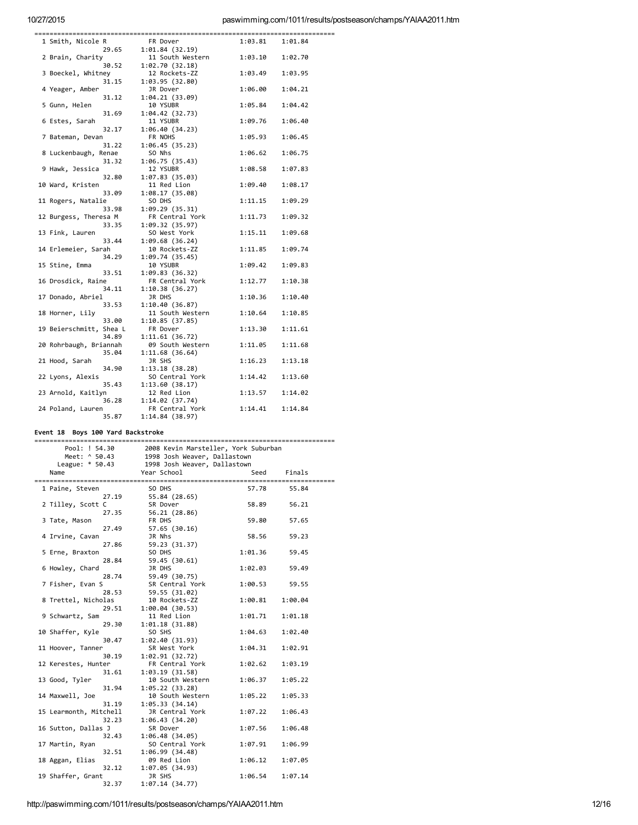# paswimming.com/1011/results/postseason/champs/YAIAA2011.htm

| 1 Smith, Nicole R       | FR Dover         | 1:03.81 | 1:01.84 |
|-------------------------|------------------|---------|---------|
| 29.65                   | 1:01.84 (32.19)  |         |         |
| 2 Brain, Charity        | 11 South Western | 1:03.10 | 1:02.70 |
| 30.52                   | 1:02.70 (32.18)  |         |         |
| 3 Boeckel, Whitney      | 12 Rockets-ZZ    | 1:03.49 | 1:03.95 |
| 31.15                   | 1:03.95 (32.80)  |         |         |
| 4 Yeager, Amber         | JR Dover         | 1:06.00 | 1:04.21 |
| 31.12                   | 1:04.21 (33.09)  |         |         |
| 5 Gunn, Helen           | 10 YSUBR         | 1:05.84 | 1:04.42 |
| 31.69                   | 1:04.42 (32.73)  |         |         |
| 6 Estes, Sarah          | 11 YSUBR         | 1:09.76 | 1:06.40 |
| 32.17                   | 1:06.40 (34.23)  |         |         |
| 7 Bateman, Devan        | FR NOHS          | 1:05.93 | 1:06.45 |
| 31.22                   | 1:06.45 (35.23)  |         |         |
| 8 Luckenbaugh, Renae    | SO Nhs           | 1:06.62 | 1:06.75 |
| 31.32                   | 1:06.75 (35.43)  |         |         |
| 9 Hawk, Jessica         | 12 YSUBR         | 1:08.58 | 1:07.83 |
| 32.80                   | 1:07.83 (35.03)  |         |         |
| 10 Ward, Kristen        | 11 Red Lion      | 1:09.40 | 1:08.17 |
| 33.09                   | 1:08.17 (35.08)  |         |         |
| 11 Rogers, Natalie      | SO DHS           | 1:11.15 | 1:09.29 |
| 33.98                   | 1:09.29 (35.31)  |         |         |
| 12 Burgess, Theresa M   | FR Central York  | 1:11.73 | 1:09.32 |
| 33.35                   | 1:09.32 (35.97)  |         |         |
| 13 Fink, Lauren         | SO West York     | 1:15.11 | 1:09.68 |
| 33.44                   | 1:09.68 (36.24)  |         |         |
| 14 Erlemeier, Sarah     | 10 Rockets-ZZ    | 1:11.85 | 1:09.74 |
| 34.29                   | 1:09.74 (35.45)  |         |         |
| 15 Stine, Emma          | 10 YSUBR         | 1:09.42 | 1:09.83 |
| 33.51                   | 1:09.83 (36.32)  |         |         |
| 16 Drosdick, Raine      | FR Central York  | 1:12.77 | 1:10.38 |
| 34.11                   | 1:10.38 (36.27)  |         |         |
| 17 Donado, Abriel       | JR DHS           | 1:10.36 | 1:10.40 |
| 33.53                   | 1:10.40 (36.87)  |         |         |
| 18 Horner, Lily         | 11 South Western | 1:10.64 | 1:10.85 |
| 33.00                   | 1:10.85 (37.85)  |         |         |
| 19 Beierschmitt, Shea L | FR Dover         | 1:13.30 | 1:11.61 |
| 34.89                   | 1:11.61 (36.72)  |         |         |
| 20 Rohrbaugh, Briannah  | 09 South Western | 1:11.05 | 1:11.68 |
| 35.04                   | 1:11.68 (36.64)  |         |         |
| 21 Hood, Sarah          | JR SHS           | 1:16.23 | 1:13.18 |
| 34.90                   | 1:13.18 (38.28)  |         |         |
| 22 Lyons, Alexis        | SO Central York  | 1:14.42 | 1:13.60 |
| 35.43                   | 1:13.60 (38.17)  |         |         |
| 23 Arnold, Kaitlyn      | 12 Red Lion      | 1:13.57 | 1:14.02 |
| 36.28                   | 1:14.02 (37.74)  |         |         |
| 24 Poland, Lauren       | FR Central York  | 1:14.41 | 1:14.84 |
| 35.87                   | 1:14.84 (38.97)  |         |         |
|                         |                  |         |         |

# Event 18 Boys 100 Yard Backstroke

|  | Pool: ! 54.30                                | 2008 Kevin Marsteller, York Suburban       |         |         |  |
|--|----------------------------------------------|--------------------------------------------|---------|---------|--|
|  |                                              | Meet: ^ 50.43 1998 Josh Weaver, Dallastown |         |         |  |
|  | League: * 50.43 1998 Josh Weaver, Dallastown |                                            |         |         |  |
|  | Name                                         | Year School                                | Seed    | Finals  |  |
|  |                                              |                                            |         |         |  |
|  | 1 Paine, Steven                              | SO DHS                                     | 57.78   | 55.84   |  |
|  | 27.19                                        | 55.84 (28.65)                              |         |         |  |
|  | 2 Tilley, Scott C                            | SR Dover                                   | 58.89   | 56.21   |  |
|  | 27.35                                        | 56.21 (28.86)                              |         |         |  |
|  | 3 Tate, Mason                                | FR DHS                                     | 59.80   | 57.65   |  |
|  | 27.49                                        | 57.65 (30.16)                              |         |         |  |
|  | 4 Irvine, Cavan                              | JR Nhs                                     | 58.56   | 59.23   |  |
|  | 27.86                                        | 59.23 (31.37)                              |         |         |  |
|  | 5 Erne, Braxton                              | SO DHS                                     | 1:01.36 | 59.45   |  |
|  | 28.84                                        | 59.45 (30.61)                              |         |         |  |
|  | 6 Howley, Chard                              | JR DHS                                     | 1:02.03 | 59.49   |  |
|  | 28.74                                        | 59.49 (30.75)                              |         |         |  |
|  | 7 Fisher, Evan S                             | SR Central York                            | 1:00.53 | 59.55   |  |
|  | 28.53                                        | 59.55 (31.02)                              |         |         |  |
|  | 8 Trettel, Nicholas                          | 10 Rockets-ZZ                              | 1:00.81 | 1:00.04 |  |
|  | 29.51                                        | 1:00.04(30.53)                             |         |         |  |
|  | 9 Schwartz, Sam                              | 11 Red Lion                                | 1:01.71 | 1:01.18 |  |
|  | 29.30                                        | 1:01.18(31.88)                             |         |         |  |
|  | 10 Shaffer, Kyle                             | SO SHS                                     | 1:04.63 | 1:02.40 |  |
|  | 30.47                                        | 1:02.40 (31.93)                            |         |         |  |
|  | 11 Hoover, Tanner                            | SR West York                               | 1:04.31 | 1:02.91 |  |
|  | 30.19                                        | 1:02.91(32.72)                             |         |         |  |
|  | 12 Kerestes, Hunter                          | FR Central York                            | 1:02.62 | 1:03.19 |  |
|  | 31.61                                        | 1:03.19(31.58)                             |         |         |  |
|  | 13 Good, Tyler                               | 10 South Western                           | 1:06.37 | 1:05.22 |  |
|  | 31.94                                        | 1:05.22(33.28)                             |         |         |  |
|  | 14 Maxwell, Joe                              | 10 South Western                           | 1:05.22 | 1:05.33 |  |
|  | 31.19                                        | 1:05.33(34.14)                             |         |         |  |
|  | 15 Learmonth, Mitchell                       | JR Central York                            | 1:07.22 | 1:06.43 |  |
|  | 32.23                                        | 1:06.43(34.20)                             |         |         |  |
|  | 16 Sutton, Dallas J                          | SR Dover                                   | 1:07.56 | 1:06.48 |  |
|  | 32.43                                        | 1:06.48(34.05)                             |         |         |  |
|  | 17 Martin, Ryan                              | SO Central York                            | 1:07.91 | 1:06.99 |  |
|  | 32.51                                        | 1:06.99(34.48)                             |         |         |  |
|  | 18 Aggan, Elias                              | 09 Red Lion                                | 1:06.12 | 1:07.05 |  |
|  | 32.12                                        | 1:07.05(34.93)                             |         |         |  |
|  | 19 Shaffer, Grant                            | JR SHS                                     | 1:06.54 | 1:07.14 |  |
|  | 32.37                                        | 1:07.14(34.77)                             |         |         |  |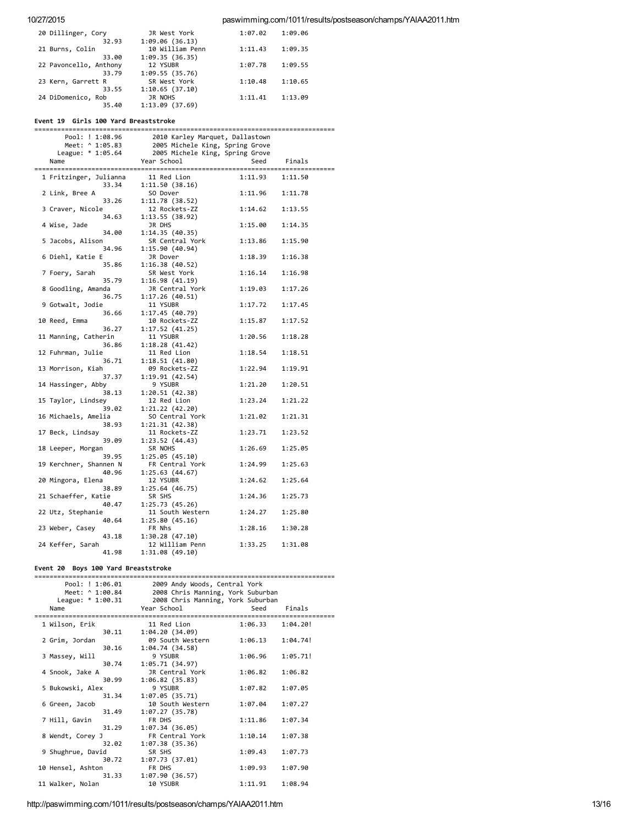## 10/27/2015 paswimming.com/1011/results/postseason/champs/YAIAA2011.htm

| 20 Dillinger, Cory     | JR West York    | 1:07.02 | 1:09.06 |
|------------------------|-----------------|---------|---------|
| 32.93                  | 1:09.06(36.13)  |         |         |
| 21 Burns, Colin        | 10 William Penn | 1:11.43 | 1:09.35 |
| 33.00                  | 1:09.35(36.35)  |         |         |
| 22 Pavoncello, Anthony | 12 YSUBR        | 1:07.78 | 1:09.55 |
| 33.79                  | 1:09.55(35.76)  |         |         |
| 23 Kern, Garrett R     | SR West York    | 1:10.48 | 1:10.65 |
| 33.55                  | 1:10.65(37.10)  |         |         |
| 24 DiDomenico, Rob     | JR NOHS         | 1:11.41 | 1:13.09 |
| 35.40                  | 1:13.09 (37.69) |         |         |

## Event 19 Girls 100 Yard Breaststroke

=============================================================================== Pool: ! 1:08.96 2010 Karley Marquet, Dallastown<br>Meet: ^ 1:05.83 2005 Michele King, Spring Grove Meet: ^ 1:05.83 2005 Michele King, Spring Grove<br>League: \* 1:05.64 2005 Michele King, Spring Grove 2005 Michele King, Spring Grove Name Year School Seed Finals =============================================================================== 1 Fritzinger, Julianna 33.34 1:11.50 (38.16) 2 Link, Bree A SO Dover 1:11.96 1:11.78<br>33.26 1:11.78 (38.52) 1:11.78 (38.52)<br>12 Rockets-ZZ 3 Craver, Nicole 12 Rockets-ZZ 1:14.62 1:13.55<br>34.63 1:13.55 (38.92) 1:13.55 (38.92)<br>JR DHS 4 Wise, Jade JR DHS 1:15.00 1:14.35 1:14.35 (40.35)<br>SR Central York 5 Jacobs, Alison SR Central York 1:13.86 1:15.90 34.96 1:15.90 (40.94) 6 Diehl, Katie E JR Dover 1:18.39 1:16.38 1:16.38 (40.52)<br>SR West York 7 Foery, Sarah SR West York 1:16.14 1:16.98 1:16.98 (41.19)<br>JR Central York 8 Goodling, Amanda JR Central York 1:19.03 1:17.26 1:17.26 (40.51)<br>11 YSUBR 9 Gotwalt, Jodie 11 YSUBR 1:17.72 1:17.45 36.66 1:17.45 (40.79) 10 Reed, Emma 10 Rockets‐ZZ 1:15.87 1:17.52 36.27 1:17.52 (41.25) 11 Manning, Catherin 11 YSUBR 1:20.56 1:18.28<br>36.86 1:18.28 (41.42)  $1:18.28$  (41.42)<br>11 Red Lion 12 Fuhrman, Julie 11 Red Lion 1:18.54 1:18.51 1:18.51 (41.80)<br>09 Rockets-ZZ 13 Morrison, Kiah 09 Rockets-ZZ 1:22.94 1:19.91<br>37.37 1:19.91 (42.54) 1:19.91 (42.54)<br>9 YSUBR 14 Hassinger, Abby 9 YSUBR 1:21.20 1:20.51 1:20.51 (42.38)<br>12 Red Lion 38.13 1:20.51 (42.50)<br>15 Taylor, Lindsey 12 Red Lion 1:23.24 1:21.22<br>1:21.22 1:21.22 1:21 22 (42.28) 1:21.22 (42.20)<br>SO Central York 16 Michaels, Amelia SO Central York 1:21.02 1:21.31 38.93 1:21.31 (42.38) 17 Beck, Lindsay 11 Rockets-2Z 1:23.71 1:23.52<br>39.09 1:23.52 (44.43) 1:23.52 (44.43)<br>SR NOHS 18 Leeper, Morgan SR NOHS 1:26.69 1:25.05<br>39.95 1:25.05 (45.10) 1:25.05 (45.10)<br>FR Central York 19 Kerchner, Shannen N FR Central York 1:24.99 1:25.63 1:25.63 (44.67)<br>12 YSUBR 20 Mingora, Elena 12 YSUBR 1:24.62 1:25.64<br>38.89 1:25.64 (46.75) 1:25.64 (46.75)<br>SR SHS 21 Schaeffer, Katie SR SHS 1:24.36 1:25.73 40.47 1:25.73 (45.26) 22 Utz, Stephanie 11 South Western 1:24.27 1:25.80 1:25.80 (45.16)<br>FR Nhs 23 Weber, Casey FR Nhs 1:28.16 1:30.28<br>43.18 1:30.28 (47.10) 1:30.28 (47.10)<br>12 William Penn 24 Keffer, Sarah 12 William Penn 1:33.25 1:31.08 41.98 1:31.08 (49.10)

## Event 20 Boys 100 Yard Breaststroke

| Pool: ! 1:06.01                      | 2009 Andy Woods, Central York                       |         |          |
|--------------------------------------|-----------------------------------------------------|---------|----------|
| Meet: ^ 1:00.84                      | 2008 Chris Manning, York Suburban                   |         |          |
|                                      | League: * 1:00.31 2008 Chris Manning, York Suburban |         |          |
| Name                                 | Year School                                         | Seed    | Finals   |
| ==================<br>1 Wilson, Erik | 11 Red Lion                                         | 1:06.33 | 1:04.20! |
| 30.11                                | 1:04.20(34.09)                                      |         |          |
| 2 Grim, Jordan                       | 09 South Western                                    | 1:06.13 | 1:04.74! |
| 30.16                                | 1:04.74 (34.58)                                     |         |          |
| 3 Massey, Will                       | 9 YSUBR                                             | 1:06.96 | 1:05.71! |
| 30.74                                | 1:05.71(34.97)                                      |         |          |
| 4 Snook, Jake A                      | JR Central York                                     | 1:06.82 | 1:06.82  |
| 30.99                                | 1:06.82(35.83)                                      |         |          |
| 5 Bukowski, Alex                     | 9 YSUBR                                             | 1:07.82 | 1:07.05  |
| 31.34                                | 1:07.05(35.71)                                      |         |          |
| 6 Green, Jacob                       | 10 South Western                                    | 1:07.04 | 1:07.27  |
| 31.49                                | 1:07.27(35.78)                                      |         |          |
| 7 Hill, Gavin                        | FR DHS                                              | 1:11.86 | 1:07.34  |
| 31.29                                | 1:07.34(36.05)                                      |         |          |
| 8 Wendt, Corey J                     | FR Central York                                     | 1:10.14 | 1:07.38  |
| 32.02                                | 1:07.38 (35.36)                                     |         |          |
| 9 Shughrue, David                    | SR SHS                                              | 1:09.43 | 1:07.73  |
| 30.72                                | 1:07.73(37.01)                                      |         |          |
| 10 Hensel, Ashton                    | FR DHS                                              | 1:09.93 | 1:07.90  |
| 31.33                                | 1:07.90(36.57)                                      |         |          |
| 11 Walker, Nolan                     | 10 YSUBR                                            | 1:11.91 | 1:08.94  |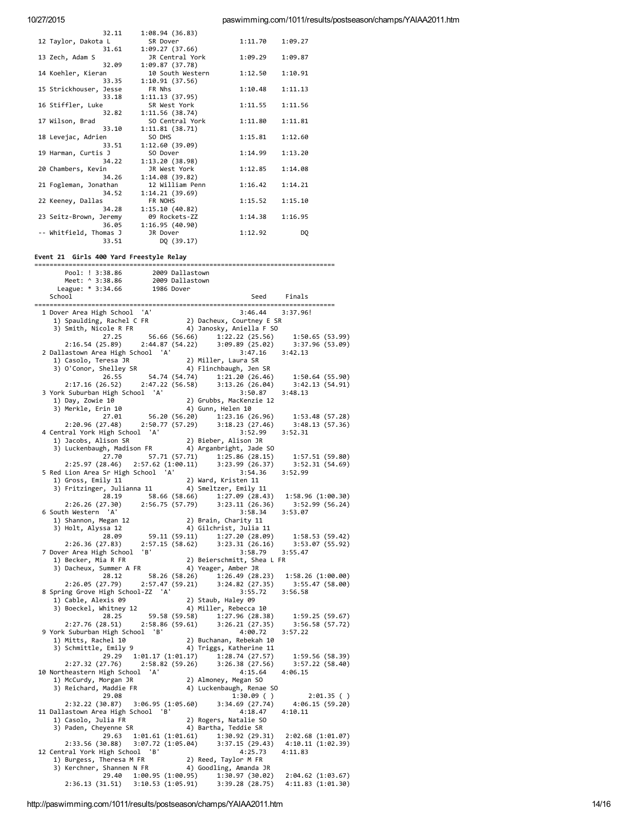paswimming.com/1011/results/postseason/champs/YAIAA2011.htm

| 1:08.94 (36.83)  |                                                                                |                               |
|------------------|--------------------------------------------------------------------------------|-------------------------------|
| SR Dover         | 1:11.70                                                                        | 1:09.27                       |
| 1:09.27(37.66)   |                                                                                |                               |
| JR Central York  | 1:09.29                                                                        | 1:09.87                       |
| 1:09.87(37.78)   |                                                                                |                               |
| 10 South Western | 1:12.50                                                                        | 1:10.91                       |
| 1:10.91(37.56)   |                                                                                |                               |
| FR Nhs           | 1:10.48                                                                        | 1:11.13                       |
| 1:11.13(37.95)   |                                                                                |                               |
| SR West York     | 1:11.55                                                                        | 1:11.56                       |
| 1:11.56 (38.74)  |                                                                                |                               |
| SO Central York  | 1:11.80                                                                        | 1:11.81                       |
| 1:11.81(38.71)   |                                                                                |                               |
| SO DHS           | 1:15.81                                                                        | 1:12.60                       |
| 1:12.60 (39.09)  |                                                                                |                               |
| SO Dover         | 1:14.99                                                                        | 1:13.20                       |
| 1:13.20 (38.98)  |                                                                                |                               |
| JR West York     | 1:12.85                                                                        | 1:14.08                       |
| 1:14.08 (39.82)  |                                                                                |                               |
| 12 William Penn  | 1:16.42                                                                        | 1:14.21                       |
|                  |                                                                                |                               |
|                  |                                                                                | 1:15.10                       |
|                  |                                                                                |                               |
|                  |                                                                                | 1:16.95                       |
|                  |                                                                                |                               |
| JR Dover         |                                                                                | DQ                            |
| DQ (39.17)       |                                                                                |                               |
|                  | 1:14.21(39.69)<br>FR NOHS<br>1:15.10(40.82)<br>09 Rockets-ZZ<br>1:16.95(40.90) | 1:15.52<br>1:14.38<br>1:12.92 |

# Event 21 Girls 400 Yard Freestyle Relay

| LVCHC 21 01:13 400 TOTU TTCC3CYIC RC10Y                                                                                                                                                                                                                                                                                                                                            |  |                 |         |
|------------------------------------------------------------------------------------------------------------------------------------------------------------------------------------------------------------------------------------------------------------------------------------------------------------------------------------------------------------------------------------|--|-----------------|---------|
|                                                                                                                                                                                                                                                                                                                                                                                    |  |                 |         |
| Pool: ! 3:38.86 2009 Dallastown<br>Meet: ^ 3:38.86 2009 Dallastown<br>League: * 3:34.66 1986 Dover<br>thool                                                                                                                                                                                                                                                                        |  |                 |         |
|                                                                                                                                                                                                                                                                                                                                                                                    |  |                 |         |
| School                                                                                                                                                                                                                                                                                                                                                                             |  | Seed Finals     |         |
| 1 Dover Area High School 'A'<br>1) Spaulding, Rachel C FR 2) Dacheux, Courtney E SR<br>3) Smith, Nicole R FR 4) Janosky, Aniella F SO<br>27.25 56.66 (56.66) 1:22.22 (25.56) 1:50.65 (53.99)<br>2:16.54 (25.89) 2:44.87 (54.22) 3:09.8                                                                                                                                             |  |                 |         |
|                                                                                                                                                                                                                                                                                                                                                                                    |  |                 |         |
|                                                                                                                                                                                                                                                                                                                                                                                    |  |                 |         |
|                                                                                                                                                                                                                                                                                                                                                                                    |  |                 |         |
|                                                                                                                                                                                                                                                                                                                                                                                    |  |                 |         |
|                                                                                                                                                                                                                                                                                                                                                                                    |  |                 |         |
|                                                                                                                                                                                                                                                                                                                                                                                    |  |                 |         |
|                                                                                                                                                                                                                                                                                                                                                                                    |  |                 |         |
|                                                                                                                                                                                                                                                                                                                                                                                    |  |                 |         |
|                                                                                                                                                                                                                                                                                                                                                                                    |  |                 |         |
| vallastown Area High School A<br>1) Casolo, Teresa JR<br>3) O'Conor, Shelley SR<br>26.55 54.74 (54.74) 1:21.20 (26.46) 1:50.64 (55.90)<br>2:17.16 (26.52) 2:47.22 (56.58) 3:13.26 (26.04) 3:42.13 (54.91)<br>121.20 (26.46) 1:50.64 (55.                                                                                                                                           |  |                 |         |
| 3 York Suburban High School 'A'                                                                                                                                                                                                                                                                                                                                                    |  |                 |         |
|                                                                                                                                                                                                                                                                                                                                                                                    |  |                 |         |
|                                                                                                                                                                                                                                                                                                                                                                                    |  |                 |         |
| 1) Day, Zowie 18<br>19 Day, Zowie 10<br>19 Day, Zowie 10<br>27.01 56.20 (56.20) 1:23.16 (26.96) 1:53.48 (57.28)<br>2:20.96 (27.48) 2:52.50.77 (57.29) 3:18.23 (27.46) 3:48.13 (57.36)<br>2.20.96 (27.48) 2:52.91 1:33.48 (57.36)<br>2.20.9                                                                                                                                         |  |                 |         |
|                                                                                                                                                                                                                                                                                                                                                                                    |  |                 |         |
| 4 Central York High School 'A'                                                                                                                                                                                                                                                                                                                                                     |  | 3:52.99 3:52.31 |         |
| entrai fork nigh school – A<br>1) Jacobs, Alison SR – – – – – – 2) Bieber, Alison JR<br>3) Luckenbaugh, Madison FR – – 4) Arganbright, Jade SO                                                                                                                                                                                                                                     |  |                 |         |
|                                                                                                                                                                                                                                                                                                                                                                                    |  |                 |         |
|                                                                                                                                                                                                                                                                                                                                                                                    |  |                 |         |
| 27.70 57.71 57.71 1:25.86 (28.15) 1:57.51 (59.80)<br>2:25.97 (28.46) 2:57.62 (1:00.11) 3:23.99 (26.37) 3:52.31 (54.69)<br>Lion Area Sr High School 'A' 3:54.36 3:52.99                                                                                                                                                                                                             |  |                 |         |
| 5 Red Lion Area Sr High School 'A'                                                                                                                                                                                                                                                                                                                                                 |  |                 |         |
| 3) Fritzinger, Julianna 11 (28.19) 8.66 (58.66) 1:27.09 (28.43) 1:58.96 (1:00.30)<br>2:26.26 (27.30) 2:56.75 (57.79) 3:23.11 (26.36) 3:52.99 (56.24)<br>6 South Western 'A'<br>3) Principle 12.56.75 (57.79) 3:23.11 (26.36) 3:52.99 (5                                                                                                                                            |  |                 |         |
|                                                                                                                                                                                                                                                                                                                                                                                    |  |                 |         |
|                                                                                                                                                                                                                                                                                                                                                                                    |  |                 |         |
|                                                                                                                                                                                                                                                                                                                                                                                    |  |                 |         |
|                                                                                                                                                                                                                                                                                                                                                                                    |  |                 |         |
|                                                                                                                                                                                                                                                                                                                                                                                    |  |                 |         |
| 3) Holt, Alyssa 12<br>2) Brain, Charity 11<br>3) Holt, Alyssa 12<br>28.89<br>2:26.36 (27.83) 2:57.15 (58.62) 3:23.31 (26.16) 3:53.07 (55.92)<br>2.26.36 (27.83) 2:57.15 (58.62) 3:23.31 (26.16) 3:53.07 (55.92)<br>1:58.53 (59.42)<br>3:58.7                                                                                                                                       |  |                 |         |
|                                                                                                                                                                                                                                                                                                                                                                                    |  |                 |         |
| 7 Dover Area High School 'B'                                                                                                                                                                                                                                                                                                                                                       |  |                 |         |
|                                                                                                                                                                                                                                                                                                                                                                                    |  |                 |         |
|                                                                                                                                                                                                                                                                                                                                                                                    |  |                 |         |
| Voltar Area High School 'B'<br>1) Becker, Mia R FR<br>3) Dacheux, Summer A FR<br>2) Beierschmitt, Shea L FR<br>28.12 58.26 (58.26) 1:26.49 (28.23) 1:58.26 (1:00.00)<br>2:26.05 (27.79) 2:57.47 (59.21) 3:24.82 (27.35) 3:55.47 (58.00)<br>                                                                                                                                        |  |                 |         |
|                                                                                                                                                                                                                                                                                                                                                                                    |  |                 |         |
|                                                                                                                                                                                                                                                                                                                                                                                    |  |                 |         |
|                                                                                                                                                                                                                                                                                                                                                                                    |  |                 |         |
|                                                                                                                                                                                                                                                                                                                                                                                    |  |                 |         |
|                                                                                                                                                                                                                                                                                                                                                                                    |  |                 |         |
|                                                                                                                                                                                                                                                                                                                                                                                    |  |                 |         |
| 2:26.05 (27.79) 2:37.47 (33.21) 3:55.72 3:56.58<br>8 Spring Grove High School-ZZ 'A' 3:55.72 3:56.58<br>1) Cable, Alexis 09 2) Staub, Haley 09<br>3) Boeckel, Whitney 12 4) Miller, Rebecca 10<br>28.25 59.58 (59.58) 1:27.96 (28.38)<br>9 York Suburban High School B' (1996.72<br>1) Mitts, Rachel 10 (2) Buchanan, Rebekah 10<br>3) Schmittle, Emily 9 (4) Triggs, Katherine 11 |  |                 | 3:57.22 |
|                                                                                                                                                                                                                                                                                                                                                                                    |  |                 |         |
|                                                                                                                                                                                                                                                                                                                                                                                    |  |                 |         |
|                                                                                                                                                                                                                                                                                                                                                                                    |  |                 |         |
| 29.29 1:01.17 (1:01.17) 1:28.74 (27.57) 1:59.56 (58.39)<br>2:27.32 (27.56) 2:58.82 (59.26) 3:26.38 (27.56) 3:557.22 (58.40)                                                                                                                                                                                                                                                        |  |                 |         |
| 10 Northeastern High School 'A'                                                                                                                                                                                                                                                                                                                                                    |  |                 |         |
|                                                                                                                                                                                                                                                                                                                                                                                    |  |                 |         |
|                                                                                                                                                                                                                                                                                                                                                                                    |  |                 |         |
| Contribeastern High School 'A'<br>1) McCurdy, Morgan JR 2) Almoney, Megan SO<br>3) Reichard, Maddie FR 4) Luckenbaugh, Renae SO<br>29.08 1:30.09 () 2:01.35 ()<br>2:32.22 (30.87) 3:06.95 (1:05.60) 3:34.69 (27.74) 4:06.15 (59.20)<br>                                                                                                                                            |  |                 |         |
|                                                                                                                                                                                                                                                                                                                                                                                    |  |                 |         |
| 11 Dallastown Area High School 'B'                                                                                                                                                                                                                                                                                                                                                 |  |                 |         |
| 1) Casolo, Julia FR<br>1) Casolo, Julia FR<br>3) Paden, Cheyenne SR<br>4) Bartha, Teddie SR                                                                                                                                                                                                                                                                                        |  |                 |         |
|                                                                                                                                                                                                                                                                                                                                                                                    |  |                 |         |
| $\begin{array}{cccc} 29.63 & 1:01.61 & (1:01.61) & 1:30.92 & (29.31) & 2:02.68 & (1:01.07) \\ 2:33.56 & (30.88) & 3:07.72 & (1:05.04) & 3:37.15 & (29.43) & 4:10.11 & (1:02.39) \end{array}$                                                                                                                                                                                       |  |                 |         |
|                                                                                                                                                                                                                                                                                                                                                                                    |  |                 |         |
|                                                                                                                                                                                                                                                                                                                                                                                    |  | 4:25.73 4:11.83 |         |
| 12 Central York High School 18' 4:25.73<br>1) Burgess, Theresa M FR 2) Reed, Taylor M FR<br>3) Kerchner, Shannen N FR 4) Goodling, Amanda JR                                                                                                                                                                                                                                       |  |                 |         |
|                                                                                                                                                                                                                                                                                                                                                                                    |  |                 |         |
| $29.40 \quad 1:00.95 \ (1:00.95) \qquad 1:30.97 \ (30.02) \quad 2:04.62 \ (1:03.67) \\ 2:36.13 \ (31.51) \qquad 3:10.53 \ (1:05.91) \qquad 3:39.28 \ (28.75) \qquad 4:11.83 \ (1:01.30)$                                                                                                                                                                                           |  |                 |         |
|                                                                                                                                                                                                                                                                                                                                                                                    |  |                 |         |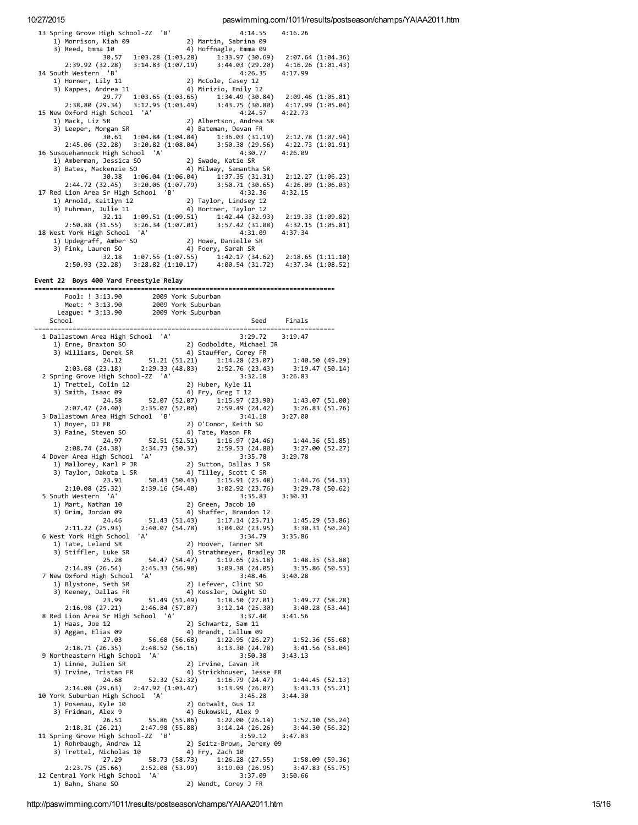| 13 Spring Grove High School-ZZ 'B'                                                                                                 | 4:14.55<br>4:16.26                                                                                                                          |
|------------------------------------------------------------------------------------------------------------------------------------|---------------------------------------------------------------------------------------------------------------------------------------------|
| 1) Morrison, Kiah 09                                                                                                               | 2) Martin, Sabrina 09                                                                                                                       |
| 3) Reed, Emma 10                                                                                                                   | 4) Hoffnagle, Emma 09<br>$1:33.97(30.69)$ $2:07.64(1:04.36)$                                                                                |
| 30.57 1:03.28 (1:03.28)<br>2:39.92 (32.28) 3:14.83 (1:07.19)                                                                       | 3:44.03(29.20)<br>4:16.26 (1:01.43)                                                                                                         |
| 14 South Western 'B'                                                                                                               | 4:26.35<br>4:17.99                                                                                                                          |
| 1) Horner, Lily 11<br>3) Kappes, Andrea 11                                                                                         | 2) McCole, Casey 12                                                                                                                         |
|                                                                                                                                    | 4) Mirizio, Emily 12                                                                                                                        |
|                                                                                                                                    | 29.77 1:03.65 (1:03.65) 1:34.49 (30.84) 2:09.46 (1:05.81)<br>2:38.80 (29.34) 3:12.95 (1:03.49) 3:43.75 (30.80) 4:17.99 (1:05.04)            |
| 15 New Oxford High School 'A'                                                                                                      | 4:24.57<br>4:22.73                                                                                                                          |
|                                                                                                                                    |                                                                                                                                             |
|                                                                                                                                    |                                                                                                                                             |
|                                                                                                                                    | 30.61  1:04.84  (1:04.84)  1:36.03  (31.19)<br>2:12.78 (1:07.94)                                                                            |
|                                                                                                                                    | $2:45.06 (32.28) 3:20.82 (1:08.04) 3:50.38 (29.56) 4:22.73 (1:01.91)$                                                                       |
| 16 Susquehannock High School 'A'                                                                                                   | 4:30.77<br>4:26.09                                                                                                                          |
| Nusqueinannoch right State (1988)<br>1) Amberman, Jessica SO (2) Swade, Katie SR<br>3) Bates, Mackenzie SO (4) Milway, Samantha SR |                                                                                                                                             |
|                                                                                                                                    | 30.38 1:06.04 (1:06.04) 1:37.35 (31.31) 2:12.27 (1:06.23)                                                                                   |
|                                                                                                                                    | $2:44.72$ (32.45) $3:20.06$ (1:07.79) $3:50.71$ (30.65) $4:26.09$ (1:06.03)                                                                 |
| 17 Red Lion Area Sr High School 'B'                                                                                                | 4:32.36<br>4:32.15                                                                                                                          |
| (ed Lion Area 3) 11160 School 2<br>1) Arnold, Kaitlyn 12 2) Taylor, Lindsey 12<br>3) Fuhrman, Julie 11 4) Bortner, Taylor 12       |                                                                                                                                             |
|                                                                                                                                    | 32.11 1:09.51 (1:09.51) 1:42.44 (32.93) 2:19.33 (1:09.82)                                                                                   |
|                                                                                                                                    | 2:50.88 (31.55) 3:26.34 (1:07.01) 3:57.42 (31.08) 4:32.15 (1:05.81)                                                                         |
| 18 West York High School 'A'                                                                                                       | 4:31.09<br>4:37.34                                                                                                                          |
|                                                                                                                                    |                                                                                                                                             |
|                                                                                                                                    |                                                                                                                                             |
|                                                                                                                                    | 32.18 1:07.55 (1:07.55) 1:42.17 (34.62) 2:18.65 (1:11.10)                                                                                   |
|                                                                                                                                    | 2:50.93 (32.28) 3:28.82 (1:10.17) 4:00.54 (31.72) 4:37.34 (1:08.52)                                                                         |
| Event 22 Boys 400 Yard Freestyle Relay                                                                                             |                                                                                                                                             |
|                                                                                                                                    |                                                                                                                                             |
|                                                                                                                                    |                                                                                                                                             |
|                                                                                                                                    |                                                                                                                                             |
| School                                                                                                                             | Seed Finals                                                                                                                                 |
|                                                                                                                                    |                                                                                                                                             |
| 1 Dallastown Area High School 'A'                                                                                                  | 3:29.72<br>3:19.47                                                                                                                          |
| 1) Erne, Braxton SO                                                                                                                | nooi A<br>2) Godboldte, Michael JR<br>4) Stauffer, Corey FR                                                                                 |
|                                                                                                                                    | 3) Williams, Derek SR $(49.29)$<br>24.12 51.21 (51.21) 1:14.28 (23.67) 1:40.50 (49.29)                                                      |
|                                                                                                                                    | 3:19.47 (50.14)                                                                                                                             |
| 2:03.68 (23.18) 2:29.33 (48.83) 2:52.76 (23.43)<br>ing Grove High School-ZZ 'A' 3:32.18<br>2 Spring Grove High School-ZZ 'A'       | 3:32.18 3:26.83                                                                                                                             |
| 2) Huber, Kyle 11<br>1) Trettel, Colin 12<br>3) Smith, Isaac 09<br>4) Fry, Greg T 12                                               |                                                                                                                                             |
|                                                                                                                                    |                                                                                                                                             |
| 24.58                                                                                                                              | 52.07 (52.07) 1:15.97 (23.90)<br>1:43.07 (51.00)                                                                                            |
| 2:07.47 (24.40) 2:35.07 (52.00) 2:59.49 (24.42)<br>3 Dallastown Area High School 'B'                                               | 3:26.83 (51.76)<br>3:41.18<br>3:27.00                                                                                                       |
|                                                                                                                                    | 2) O'Conor, Keith SO                                                                                                                        |
| 1) Boyer, DJ FR 2) O'C<br>3) Paine, Steven SO 4) Tat<br>24.97 52.51 (52.51)                                                        | 4) Tate, Mason FR                                                                                                                           |
|                                                                                                                                    | 2:59.53 (24.88) 1:44.36 (51.85)<br>2:59.53 (24.88) 3:27 $\omega_0$ '7                                                                       |
| $2:08.74(24.38)$ $2:34.73(50.37)$                                                                                                  |                                                                                                                                             |
| 4 Dover Area High School 'A'                                                                                                       | 3:29.78<br>2) Sutton, Dallas J SR                                                                                                           |
| over Area High School F.<br>1) Mallorey, Karl P JR<br>19 Mallorey, Karl P JR<br>3) Taylor, Dakota L SR                             | 4) Tilley, Scott C SR                                                                                                                       |
| 23.91                                                                                                                              | 50.43 (50.43) 1:15.91 (25.48)<br>1:44.76 (54.33)                                                                                            |
| 2:10.08 (25.32)                                                                                                                    | 2:39.16 (54.40) 3:02.92 (23.76) 3:29.78 (50.62)                                                                                             |
| 5 South Western 'A'                                                                                                                | 3:35.83<br>3:30.31                                                                                                                          |
| 1) Mart, Nathan 10<br>3) Grim, Jordan 09                                                                                           | 2) Green, Jacob 10<br>4) Shaffer, Brandon 12                                                                                                |
| 24.46                                                                                                                              | 51.43 (51.43) 1:17.14 (25.71)<br>1:45.29 (53.86)                                                                                            |
| 2:11.22 (25.93) 2:40.07 (54.78)                                                                                                    | 3:30.31 (50.24)<br>3:04.02(23.95)                                                                                                           |
| 6 West York High School 'A'                                                                                                        | 3:34.79 3:35.86                                                                                                                             |
| 1) Tate, Leland SR                                                                                                                 | 2) Hoover, Tanner SR                                                                                                                        |
| 3) Stiffler, Luke SR                                                                                                               | 4) Strathmeyer, Bradley JR                                                                                                                  |
| 54.47 (54.47)<br>25.28<br>2:14.89(26.54)<br>2:45.33 (56.98)                                                                        | 1:19.65(25.18)<br>1:48.35(53.88)<br>3:09.38 (24.05)<br>3:35.86 (50.53)                                                                      |
| 7 New Oxford High School 'A'                                                                                                       | 3:48.46<br>3:40.28                                                                                                                          |
| 1) Blystone, Seth SR<br>1) Blystone, Seth SR                                                                                       | 2) Lefever, Clint SO                                                                                                                        |
| 3) Keeney, Dallas FR                                                                                                               | 4) Kessler, Dwight SO                                                                                                                       |
| 23.99                                                                                                                              | $51.49(51.49)$ $1:18.50(27.01)$<br>1:49.77 (58.28)                                                                                          |
| $2:16.98$ (27.21) $2:46.84$ (57.07) $3:12.14$ (25.30)                                                                              | 3:40.28 (53.44)                                                                                                                             |
| 8 Red Lion Area Sr High School 'A'<br>1) Haas, Joe 12                                                                              | 3:37.40<br>3:41.56<br>2) Schwartz, Sam 11                                                                                                   |
| 3) Aggan, Elias 09                                                                                                                 | 4) Brandt, Callum 09                                                                                                                        |
| 56.68 (56.68)<br>27.03                                                                                                             | 1:52.36 (55.68)<br>1:22.95 (26.27)                                                                                                          |
| 2:48.52 (56.16)<br>2:18.71(26.35)                                                                                                  | 3:13.30 (24.78)<br>3:41.56 (53.04)                                                                                                          |
| 9 Northeastern High School 'A'                                                                                                     | 3:50.38<br>3:43.13                                                                                                                          |
| 1) Linne, Julien SR                                                                                                                | 2) Irvine, Cavan JR                                                                                                                         |
|                                                                                                                                    | 2, 1.1.1.1.2. U.S. 2, 1.1.1.1.2. U.S. 2, 1.1.1.1.2. U.S. 24.68<br>3) Irvine, Tristan FR 24.68 52.32 (52.32) 1:16.79 (24.47) 1:44.45 (52.13) |
| 2:14.08 (29.63) 2:47.92 (1:03.47)                                                                                                  | 3:13.99 (26.07) 3:43.13 (55.21)                                                                                                             |
| 10 York Suburban High School 'A'                                                                                                   | $3:45.28$ $3:44.30$                                                                                                                         |
| 1) Posenau, Kyle 10                                                                                                                | 2) Gotwalt, Gus 12<br>4) Bukowski, Alex 9                                                                                                   |
| 3) Fridman, Alex 9                                                                                                                 |                                                                                                                                             |
| 26.51<br>2:18.31 (26.21) 2:47.98 (55.88) 3:14.24 (26.26)                                                                           | 55.86 (55.86) 1:22.00 (26.14)<br>1:52.10 (56.24)<br>3:44.30 (56.32)                                                                         |
| 11 Spring Grove High School-ZZ 'B'                                                                                                 | 3:59.12<br>3:47.83                                                                                                                          |
|                                                                                                                                    |                                                                                                                                             |
|                                                                                                                                    |                                                                                                                                             |
| 58.73 (58.73)<br>27.29                                                                                                             |                                                                                                                                             |
|                                                                                                                                    | 1:26.28(27.55)                                                                                                                              |
| 2:23.75 (25.66) 2:52.08 (53.99)                                                                                                    | 1:58.09 (59.36)<br>3:47.83 (55.75)<br>3:19.03 (26.95)                                                                                       |
| 12 Central York High School 'A'<br>1) Bahn, Shane SO                                                                               | 3:37.09 3:50.66<br>2) Wendt, Corey J FR                                                                                                     |